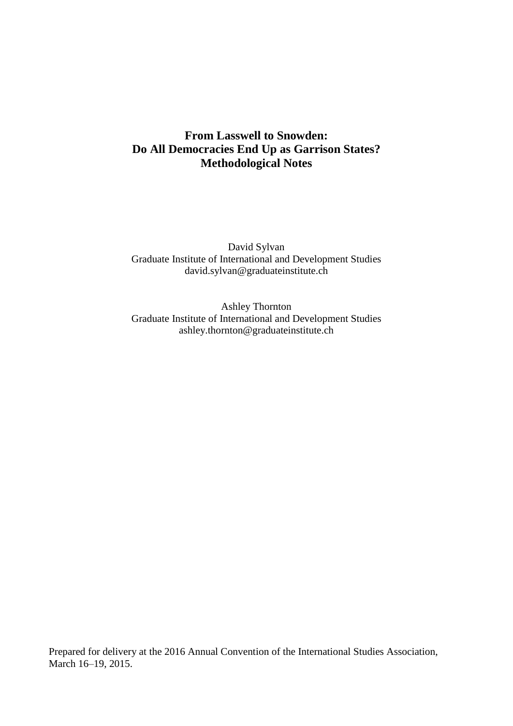# **From Lasswell to Snowden: Do All Democracies End Up as Garrison States? Methodological Notes**

David Sylvan Graduate Institute of International and Development Studies david.sylvan@graduateinstitute.ch

Ashley Thornton Graduate Institute of International and Development Studies ashley.thornton@graduateinstitute.ch

Prepared for delivery at the 2016 Annual Convention of the International Studies Association, March 16–19, 2015.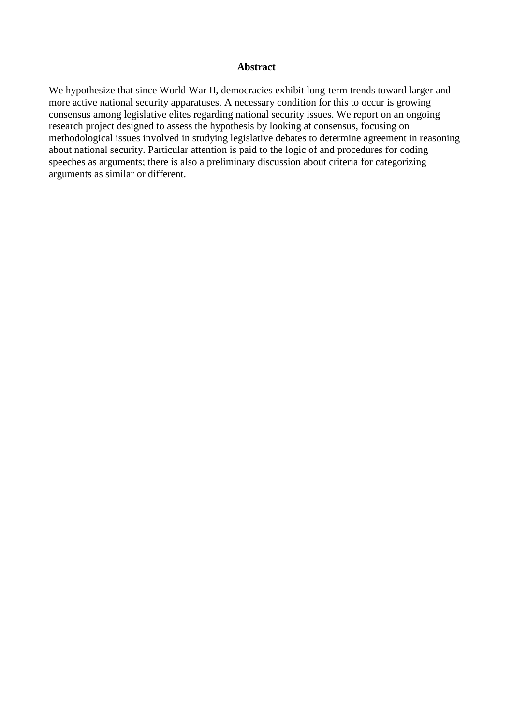#### **Abstract**

We hypothesize that since World War II, democracies exhibit long-term trends toward larger and more active national security apparatuses. A necessary condition for this to occur is growing consensus among legislative elites regarding national security issues. We report on an ongoing research project designed to assess the hypothesis by looking at consensus, focusing on methodological issues involved in studying legislative debates to determine agreement in reasoning about national security. Particular attention is paid to the logic of and procedures for coding speeches as arguments; there is also a preliminary discussion about criteria for categorizing arguments as similar or different.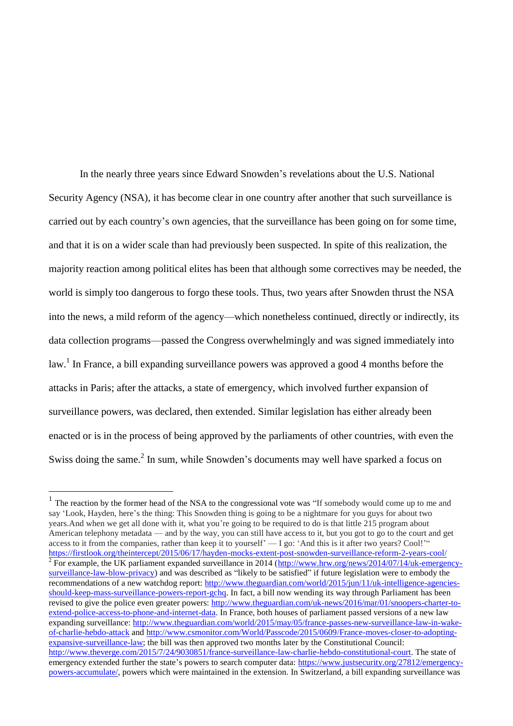In the nearly three years since Edward Snowden's revelations about the U.S. National Security Agency (NSA), it has become clear in one country after another that such surveillance is carried out by each country's own agencies, that the surveillance has been going on for some time, and that it is on a wider scale than had previously been suspected. In spite of this realization, the majority reaction among political elites has been that although some correctives may be needed, the world is simply too dangerous to forgo these tools. Thus, two years after Snowden thrust the NSA into the news, a mild reform of the agency—which nonetheless continued, directly or indirectly, its data collection programs—passed the Congress overwhelmingly and was signed immediately into law.<sup>1</sup> In France, a bill expanding surveillance powers was approved a good 4 months before the attacks in Paris; after the attacks, a state of emergency, which involved further expansion of surveillance powers, was declared, then extended. Similar legislation has either already been enacted or is in the process of being approved by the parliaments of other countries, with even the Swiss doing the same.<sup>2</sup> In sum, while Snowden's documents may well have sparked a focus on

<sup>&</sup>lt;sup>1</sup> The reaction by the former head of the NSA to the congressional vote was "If somebody would come up to me and say 'Look, Hayden, here's the thing: This Snowden thing is going to be a nightmare for you guys for about two years.And when we get all done with it, what you're going to be required to do is that little 215 program about American telephony metadata — and by the way, you can still have access to it, but you got to go to the court and get access to it from the companies, rather than keep it to yourself' — I go: 'And this is it after two years? Cool!'" <https://firstlook.org/theintercept/2015/06/17/hayden-mocks-extent-post-snowden-surveillance-reform-2-years-cool/>  $^2$  For example, the UK parliament expanded surveillance in 2014 [\(http://www.hrw.org/news/2014/07/14/uk-emergency](http://www.hrw.org/news/2014/07/14/uk-emergency-surveillance-law-blow-privacy)[surveillance-law-blow-privacy\)](http://www.hrw.org/news/2014/07/14/uk-emergency-surveillance-law-blow-privacy) and was described as "likely to be satisfied" if future legislation were to embody the recommendations of a new watchdog report: [http://www.theguardian.com/world/2015/jun/11/uk-intelligence-agencies](http://www.theguardian.com/world/2015/jun/11/uk-intelligence-agencies-should-keep-mass-surveillance-powers-report-gchq)[should-keep-mass-surveillance-powers-report-gchq.](http://www.theguardian.com/world/2015/jun/11/uk-intelligence-agencies-should-keep-mass-surveillance-powers-report-gchq) In fact, a bill now wending its way through Parliament has been revised to give the police even greater powers: [http://www.theguardian.com/uk-news/2016/mar/01/snoopers-charter-to](http://www.theguardian.com/uk-news/2016/mar/01/snoopers-charter-to-extend-police-access-to-phone-and-internet-data)[extend-police-access-to-phone-and-internet-data.](http://www.theguardian.com/uk-news/2016/mar/01/snoopers-charter-to-extend-police-access-to-phone-and-internet-data) In France, both houses of parliament passed versions of a new law expanding surveillance: [http://www.theguardian.com/world/2015/may/05/france-passes-new-surveillance-law-in-wake](http://www.theguardian.com/world/2015/may/05/france-passes-new-surveillance-law-in-wake-of-charlie-hebdo-attack)[of-charlie-hebdo-attack](http://www.theguardian.com/world/2015/may/05/france-passes-new-surveillance-law-in-wake-of-charlie-hebdo-attack) and [http://www.csmonitor.com/World/Passcode/2015/0609/France-moves-closer-to-adopting](http://www.csmonitor.com/World/Passcode/2015/0609/France-moves-closer-to-adopting-expansive-surveillance-law)[expansive-surveillance-law;](http://www.csmonitor.com/World/Passcode/2015/0609/France-moves-closer-to-adopting-expansive-surveillance-law) the bill was then approved two months later by the Constitutional Council: [http://www.theverge.com/2015/7/24/9030851/france-surveillance-law-charlie-hebdo-constitutional-court.](http://www.theverge.com/2015/7/24/9030851/france-surveillance-law-charlie-hebdo-constitutional-court) The state of emergency extended further the state's powers to search computer data: [https://www.justsecurity.org/27812/emergency](https://www.justsecurity.org/27812/emergency-powers-accumulate/)[powers-accumulate/,](https://www.justsecurity.org/27812/emergency-powers-accumulate/) powers which were maintained in the extension. In Switzerland, a bill expanding surveillance was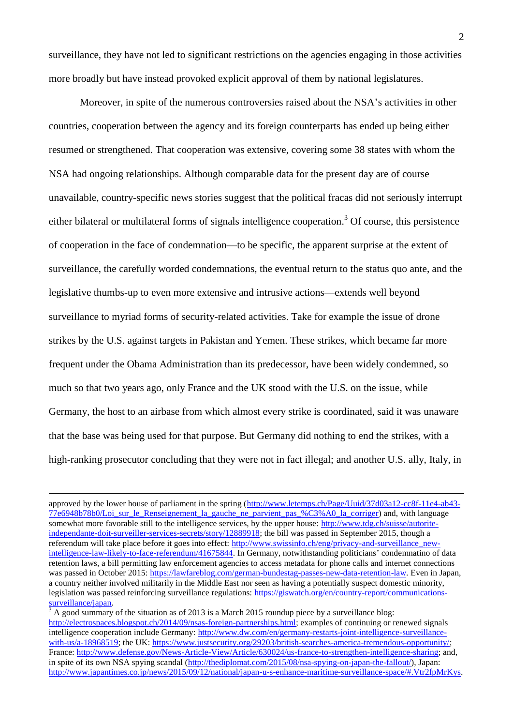surveillance, they have not led to significant restrictions on the agencies engaging in those activities more broadly but have instead provoked explicit approval of them by national legislatures.

Moreover, in spite of the numerous controversies raised about the NSA's activities in other countries, cooperation between the agency and its foreign counterparts has ended up being either resumed or strengthened. That cooperation was extensive, covering some 38 states with whom the NSA had ongoing relationships. Although comparable data for the present day are of course unavailable, country-specific news stories suggest that the political fracas did not seriously interrupt either bilateral or multilateral forms of signals intelligence cooperation.<sup>3</sup> Of course, this persistence of cooperation in the face of condemnation—to be specific, the apparent surprise at the extent of surveillance, the carefully worded condemnations, the eventual return to the status quo ante, and the legislative thumbs-up to even more extensive and intrusive actions—extends well beyond surveillance to myriad forms of security-related activities. Take for example the issue of drone strikes by the U.S. against targets in Pakistan and Yemen. These strikes, which became far more frequent under the Obama Administration than its predecessor, have been widely condemned, so much so that two years ago, only France and the UK stood with the U.S. on the issue, while Germany, the host to an airbase from which almost every strike is coordinated, said it was unaware that the base was being used for that purpose. But Germany did nothing to end the strikes, with a high-ranking prosecutor concluding that they were not in fact illegal; and another U.S. ally, Italy, in

approved by the lower house of parliament in the spring [\(http://www.letemps.ch/Page/Uuid/37d03a12-cc8f-11e4-ab43-](http://www.letemps.ch/Page/Uuid/37d03a12-cc8f-11e4-ab43-77e6948b78b0/Loi_sur_le_Renseignement_la_gauche_ne_parvient_pas_%C3%A0_la_corriger) [77e6948b78b0/Loi\\_sur\\_le\\_Renseignement\\_la\\_gauche\\_ne\\_parvient\\_pas\\_%C3%A0\\_la\\_corriger\)](http://www.letemps.ch/Page/Uuid/37d03a12-cc8f-11e4-ab43-77e6948b78b0/Loi_sur_le_Renseignement_la_gauche_ne_parvient_pas_%C3%A0_la_corriger) and, with language somewhat more favorable still to the intelligence services, by the upper house: [http://www.tdg.ch/suisse/autorite](http://www.tdg.ch/suisse/autorite-independante-doit-surveiller-services-secrets/story/12889918)[independante-doit-surveiller-services-secrets/story/12889918;](http://www.tdg.ch/suisse/autorite-independante-doit-surveiller-services-secrets/story/12889918) the bill was passed in September 2015, though a referendum will take place before it goes into effect: [http://www.swissinfo.ch/eng/privacy-and-surveillance\\_new](http://www.swissinfo.ch/eng/privacy-and-surveillance_new-intelligence-law-likely-to-face-referendum/41675844)[intelligence-law-likely-to-face-referendum/41675844.](http://www.swissinfo.ch/eng/privacy-and-surveillance_new-intelligence-law-likely-to-face-referendum/41675844) In Germany, notwithstanding politicians' condemnatino of data retention laws, a bill permitting law enforcement agencies to access metadata for phone calls and internet connections was passed in October 2015: [https://lawfareblog.com/german-bundestag-passes-new-data-retention-law.](https://lawfareblog.com/german-bundestag-passes-new-data-retention-law) Even in Japan, a country neither involved militarily in the Middle East nor seen as having a potentially suspect domestic minority, legislation was passed reinforcing surveillance regulations: [https://giswatch.org/en/country-report/communications](https://giswatch.org/en/country-report/communications-surveillance/japan)[surveillance/japan.](https://giswatch.org/en/country-report/communications-surveillance/japan)

<sup>3</sup> A good summary of the situation as of 2013 is a March 2015 roundup piece by a surveillance blog: [http://electrospaces.blogspot.ch/2014/09/nsas-foreign-partnerships.html;](http://electrospaces.blogspot.ch/2014/09/nsas-foreign-partnerships.html) examples of continuing or renewed signals intelligence cooperation include Germany: [http://www.dw.com/en/germany-restarts-joint-intelligence-surveillance](http://www.dw.com/en/germany-restarts-joint-intelligence-surveillance-with-us/a-18968519)[with-us/a-18968519;](http://www.dw.com/en/germany-restarts-joint-intelligence-surveillance-with-us/a-18968519) the UK: [https://www.justsecurity.org/29203/british-searches-america-tremendous-opportunity/;](https://www.justsecurity.org/29203/british-searches-america-tremendous-opportunity/) France: [http://www.defense.gov/News-Article-View/Article/630024/us-france-to-strengthen-intelligence-sharing;](http://www.defense.gov/News-Article-View/Article/630024/us-france-to-strengthen-intelligence-sharing) and, in spite of its own NSA spying scandal [\(http://thediplomat.com/2015/08/nsa-spying-on-japan-the-fallout/\)](http://thediplomat.com/2015/08/nsa-spying-on-japan-the-fallout/), Japan: [http://www.japantimes.co.jp/news/2015/09/12/national/japan-u-s-enhance-maritime-surveillance-space/#.Vtr2fpMrKys.](http://www.japantimes.co.jp/news/2015/09/12/national/japan-u-s-enhance-maritime-surveillance-space/#.Vtr2fpMrKys)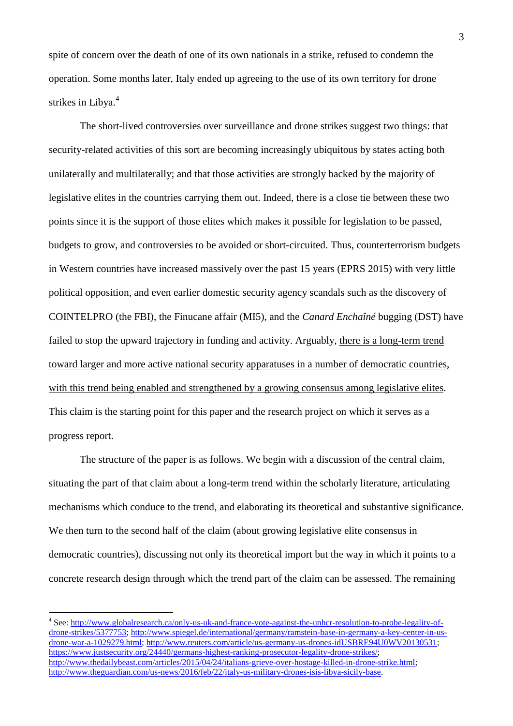spite of concern over the death of one of its own nationals in a strike, refused to condemn the operation. Some months later, Italy ended up agreeing to the use of its own territory for drone strikes in Libya. 4

The short-lived controversies over surveillance and drone strikes suggest two things: that security-related activities of this sort are becoming increasingly ubiquitous by states acting both unilaterally and multilaterally; and that those activities are strongly backed by the majority of legislative elites in the countries carrying them out. Indeed, there is a close tie between these two points since it is the support of those elites which makes it possible for legislation to be passed, budgets to grow, and controversies to be avoided or short-circuited. Thus, counterterrorism budgets in Western countries have increased massively over the past 15 years (EPRS 2015) with very little political opposition, and even earlier domestic security agency scandals such as the discovery of COINTELPRO (the FBI), the Finucane affair (MI5), and the *Canard Enchaîné* bugging (DST) have failed to stop the upward trajectory in funding and activity. Arguably, there is a long-term trend toward larger and more active national security apparatuses in a number of democratic countries, with this trend being enabled and strengthened by a growing consensus among legislative elites. This claim is the starting point for this paper and the research project on which it serves as a progress report.

The structure of the paper is as follows. We begin with a discussion of the central claim, situating the part of that claim about a long-term trend within the scholarly literature, articulating mechanisms which conduce to the trend, and elaborating its theoretical and substantive significance. We then turn to the second half of the claim (about growing legislative elite consensus in democratic countries), discussing not only its theoretical import but the way in which it points to a concrete research design through which the trend part of the claim can be assessed. The remaining

<u>.</u>

<sup>&</sup>lt;sup>4</sup> See: [http://www.globalresearch.ca/only-us-uk-and-france-vote-against-the-unhcr-resolution-to-probe-legality-of](http://www.globalresearch.ca/only-us-uk-and-france-vote-against-the-unhcr-resolution-to-probe-legality-of-drone-strikes/5377753)[drone-strikes/5377753;](http://www.globalresearch.ca/only-us-uk-and-france-vote-against-the-unhcr-resolution-to-probe-legality-of-drone-strikes/5377753) [http://www.spiegel.de/international/germany/ramstein-base-in-germany-a-key-center-in-us](http://www.spiegel.de/international/germany/ramstein-base-in-germany-a-key-center-in-us-drone-war-a-1029279.html)[drone-war-a-1029279.html;](http://www.spiegel.de/international/germany/ramstein-base-in-germany-a-key-center-in-us-drone-war-a-1029279.html) [http://www.reuters.com/article/us-germany-us-drones-idUSBRE94U0WV20130531;](http://www.reuters.com/article/us-germany-us-drones-idUSBRE94U0WV20130531) [https://www.justsecurity.org/24440/germans-highest-ranking-prosecutor-legality-drone-strikes/;](https://www.justsecurity.org/24440/germans-highest-ranking-prosecutor-legality-drone-strikes/)  [http://www.thedailybeast.com/articles/2015/04/24/italians-grieve-over-hostage-killed-in-drone-strike.html;](http://www.thedailybeast.com/articles/2015/04/24/italians-grieve-over-hostage-killed-in-drone-strike.html) [http://www.theguardian.com/us-news/2016/feb/22/italy-us-military-drones-isis-libya-sicily-base.](http://www.theguardian.com/us-news/2016/feb/22/italy-us-military-drones-isis-libya-sicily-base)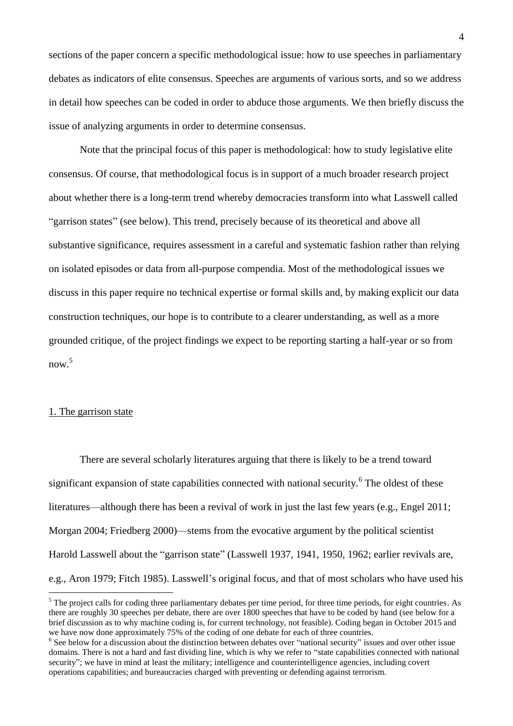sections of the paper concern a specific methodological issue: how to use speeches in parliamentary debates as indicators of elite consensus. Speeches are arguments of various sorts, and so we address in detail how speeches can be coded in order to abduce those arguments. We then briefly discuss the issue of analyzing arguments in order to determine consensus.

Note that the principal focus of this paper is methodological: how to study legislative elite consensus. Of course, that methodological focus is in support of a much broader research project about whether there is a long-term trend whereby democracies transform into what Lasswell called "garrison states" (see below). This trend, precisely because of its theoretical and above all substantive significance, requires assessment in a careful and systematic fashion rather than relying on isolated episodes or data from all-purpose compendia. Most of the methodological issues we discuss in this paper require no technical expertise or formal skills and, by making explicit our data construction techniques, our hope is to contribute to a clearer understanding, as well as a more grounded critique, of the project findings we expect to be reporting starting a half-year or so from now.<sup>5</sup>

#### 1. The garrison state

1

There are several scholarly literatures arguing that there is likely to be a trend toward significant expansion of state capabilities connected with national security.<sup>6</sup> The oldest of these literatures—although there has been a revival of work in just the last few years (e.g., Engel 2011; Morgan 2004; Friedberg 2000)—stems from the evocative argument by the political scientist Harold Lasswell about the "garrison state" (Lasswell 1937, 1941, 1950, 1962; earlier revivals are, e.g., Aron 1979; Fitch 1985). Lasswell's original focus, and that of most scholars who have used his

 $<sup>5</sup>$  The project calls for coding three parliamentary debates per time period, for three time periods, for eight countries. As</sup> there are roughly 30 speeches per debate, there are over 1800 speeches that have to be coded by hand (see below for a brief discussion as to why machine coding is, for current technology, not feasible). Coding began in October 2015 and we have now done approximately 75% of the coding of one debate for each of three countries.

<sup>&</sup>lt;sup>6</sup> See below for a discussion about the distinction between debates over "national security" issues and over other issue domains. There is not a hard and fast dividing line, which is why we refer to "state capabilities connected with national security"; we have in mind at least the military; intelligence and counterintelligence agencies, including covert operations capabilities; and bureaucracies charged with preventing or defending against terrorism.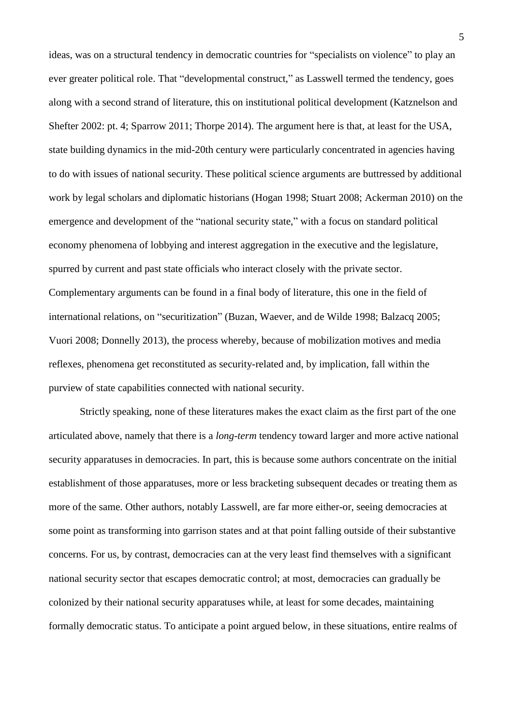ideas, was on a structural tendency in democratic countries for "specialists on violence" to play an ever greater political role. That "developmental construct," as Lasswell termed the tendency, goes along with a second strand of literature, this on institutional political development (Katznelson and Shefter 2002: pt. 4; Sparrow 2011; Thorpe 2014). The argument here is that, at least for the USA, state building dynamics in the mid-20th century were particularly concentrated in agencies having to do with issues of national security. These political science arguments are buttressed by additional work by legal scholars and diplomatic historians (Hogan 1998; Stuart 2008; Ackerman 2010) on the emergence and development of the "national security state," with a focus on standard political economy phenomena of lobbying and interest aggregation in the executive and the legislature, spurred by current and past state officials who interact closely with the private sector. Complementary arguments can be found in a final body of literature, this one in the field of international relations, on "securitization" (Buzan, Waever, and de Wilde 1998; Balzacq 2005; Vuori 2008; Donnelly 2013), the process whereby, because of mobilization motives and media reflexes, phenomena get reconstituted as security-related and, by implication, fall within the purview of state capabilities connected with national security.

Strictly speaking, none of these literatures makes the exact claim as the first part of the one articulated above, namely that there is a *long-term* tendency toward larger and more active national security apparatuses in democracies. In part, this is because some authors concentrate on the initial establishment of those apparatuses, more or less bracketing subsequent decades or treating them as more of the same. Other authors, notably Lasswell, are far more either-or, seeing democracies at some point as transforming into garrison states and at that point falling outside of their substantive concerns. For us, by contrast, democracies can at the very least find themselves with a significant national security sector that escapes democratic control; at most, democracies can gradually be colonized by their national security apparatuses while, at least for some decades, maintaining formally democratic status. To anticipate a point argued below, in these situations, entire realms of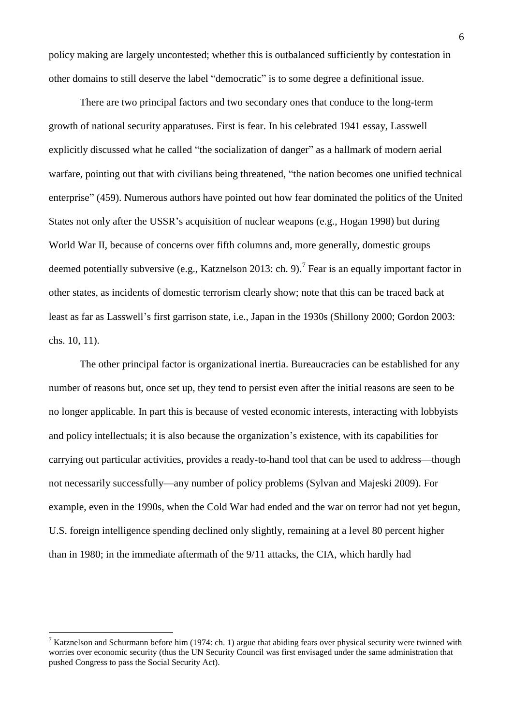policy making are largely uncontested; whether this is outbalanced sufficiently by contestation in other domains to still deserve the label "democratic" is to some degree a definitional issue.

There are two principal factors and two secondary ones that conduce to the long-term growth of national security apparatuses. First is fear. In his celebrated 1941 essay, Lasswell explicitly discussed what he called "the socialization of danger" as a hallmark of modern aerial warfare, pointing out that with civilians being threatened, "the nation becomes one unified technical enterprise" (459). Numerous authors have pointed out how fear dominated the politics of the United States not only after the USSR's acquisition of nuclear weapons (e.g., Hogan 1998) but during World War II, because of concerns over fifth columns and, more generally, domestic groups deemed potentially subversive (e.g., Katznelson 2013: ch. 9).<sup>7</sup> Fear is an equally important factor in other states, as incidents of domestic terrorism clearly show; note that this can be traced back at least as far as Lasswell's first garrison state, i.e., Japan in the 1930s (Shillony 2000; Gordon 2003: chs. 10, 11).

The other principal factor is organizational inertia. Bureaucracies can be established for any number of reasons but, once set up, they tend to persist even after the initial reasons are seen to be no longer applicable. In part this is because of vested economic interests, interacting with lobbyists and policy intellectuals; it is also because the organization's existence, with its capabilities for carrying out particular activities, provides a ready-to-hand tool that can be used to address—though not necessarily successfully—any number of policy problems (Sylvan and Majeski 2009). For example, even in the 1990s, when the Cold War had ended and the war on terror had not yet begun, U.S. foreign intelligence spending declined only slightly, remaining at a level 80 percent higher than in 1980; in the immediate aftermath of the 9/11 attacks, the CIA, which hardly had

<sup>&</sup>lt;sup>7</sup> Katznelson and Schurmann before him (1974: ch. 1) argue that abiding fears over physical security were twinned with worries over economic security (thus the UN Security Council was first envisaged under the same administration that pushed Congress to pass the Social Security Act).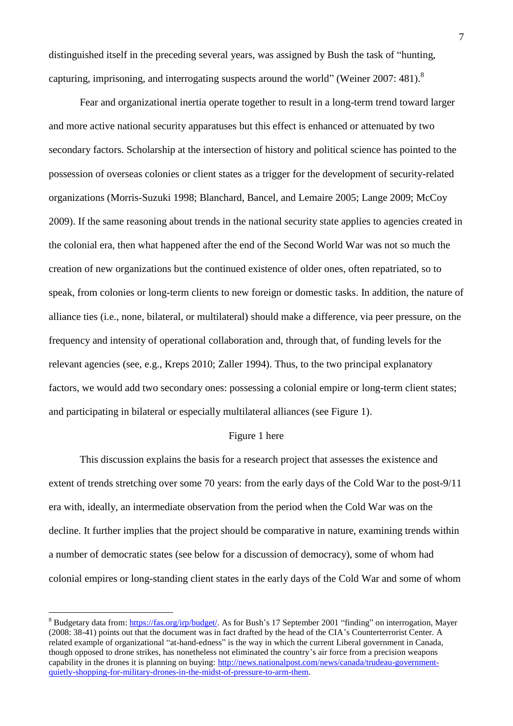distinguished itself in the preceding several years, was assigned by Bush the task of "hunting, capturing, imprisoning, and interrogating suspects around the world" (Weiner 2007: 481).<sup>8</sup>

Fear and organizational inertia operate together to result in a long-term trend toward larger and more active national security apparatuses but this effect is enhanced or attenuated by two secondary factors. Scholarship at the intersection of history and political science has pointed to the possession of overseas colonies or client states as a trigger for the development of security-related organizations (Morris-Suzuki 1998; Blanchard, Bancel, and Lemaire 2005; Lange 2009; McCoy 2009). If the same reasoning about trends in the national security state applies to agencies created in the colonial era, then what happened after the end of the Second World War was not so much the creation of new organizations but the continued existence of older ones, often repatriated, so to speak, from colonies or long-term clients to new foreign or domestic tasks. In addition, the nature of alliance ties (i.e., none, bilateral, or multilateral) should make a difference, via peer pressure, on the frequency and intensity of operational collaboration and, through that, of funding levels for the relevant agencies (see, e.g., Kreps 2010; Zaller 1994). Thus, to the two principal explanatory factors, we would add two secondary ones: possessing a colonial empire or long-term client states; and participating in bilateral or especially multilateral alliances (see Figure 1).

#### Figure 1 here

This discussion explains the basis for a research project that assesses the existence and extent of trends stretching over some 70 years: from the early days of the Cold War to the post-9/11 era with, ideally, an intermediate observation from the period when the Cold War was on the decline. It further implies that the project should be comparative in nature, examining trends within a number of democratic states (see below for a discussion of democracy), some of whom had colonial empires or long-standing client states in the early days of the Cold War and some of whom

<u>.</u>

<sup>&</sup>lt;sup>8</sup> Budgetary data from: [https://fas.org/irp/budget/.](https://fas.org/irp/budget/) As for Bush's 17 September 2001 "finding" on interrogation, Mayer (2008: 38-41) points out that the document was in fact drafted by the head of the CIA's Counterterrorist Center. A related example of organizational "at-hand-edness" is the way in which the current Liberal government in Canada, though opposed to drone strikes, has nonetheless not eliminated the country's air force from a precision weapons capability in the drones it is planning on buying: [http://news.nationalpost.com/news/canada/trudeau-government](http://news.nationalpost.com/news/canada/trudeau-government-quietly-shopping-for-military-drones-in-the-midst-of-pressure-to-arm-them)[quietly-shopping-for-military-drones-in-the-midst-of-pressure-to-arm-them.](http://news.nationalpost.com/news/canada/trudeau-government-quietly-shopping-for-military-drones-in-the-midst-of-pressure-to-arm-them)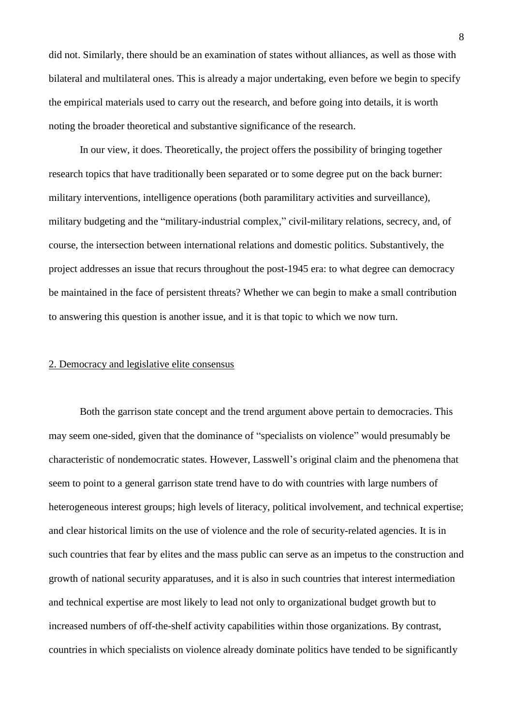did not. Similarly, there should be an examination of states without alliances, as well as those with bilateral and multilateral ones. This is already a major undertaking, even before we begin to specify the empirical materials used to carry out the research, and before going into details, it is worth noting the broader theoretical and substantive significance of the research.

In our view, it does. Theoretically, the project offers the possibility of bringing together research topics that have traditionally been separated or to some degree put on the back burner: military interventions, intelligence operations (both paramilitary activities and surveillance), military budgeting and the "military-industrial complex," civil-military relations, secrecy, and, of course, the intersection between international relations and domestic politics. Substantively, the project addresses an issue that recurs throughout the post-1945 era: to what degree can democracy be maintained in the face of persistent threats? Whether we can begin to make a small contribution to answering this question is another issue, and it is that topic to which we now turn.

### 2. Democracy and legislative elite consensus

Both the garrison state concept and the trend argument above pertain to democracies. This may seem one-sided, given that the dominance of "specialists on violence" would presumably be characteristic of nondemocratic states. However, Lasswell's original claim and the phenomena that seem to point to a general garrison state trend have to do with countries with large numbers of heterogeneous interest groups; high levels of literacy, political involvement, and technical expertise; and clear historical limits on the use of violence and the role of security-related agencies. It is in such countries that fear by elites and the mass public can serve as an impetus to the construction and growth of national security apparatuses, and it is also in such countries that interest intermediation and technical expertise are most likely to lead not only to organizational budget growth but to increased numbers of off-the-shelf activity capabilities within those organizations. By contrast, countries in which specialists on violence already dominate politics have tended to be significantly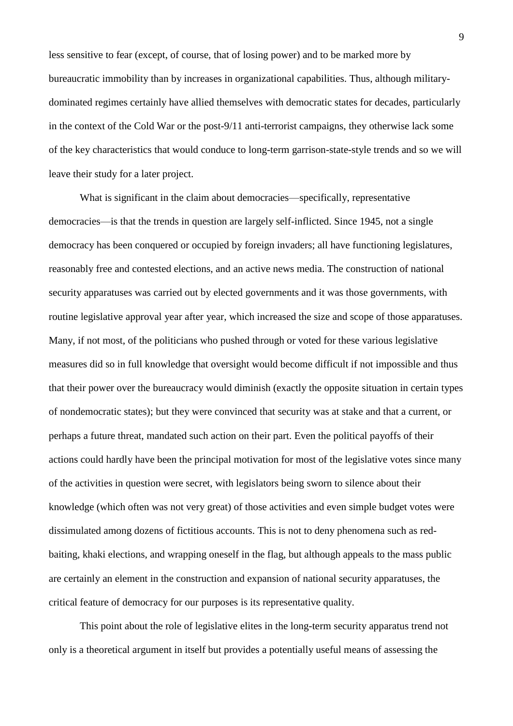less sensitive to fear (except, of course, that of losing power) and to be marked more by bureaucratic immobility than by increases in organizational capabilities. Thus, although militarydominated regimes certainly have allied themselves with democratic states for decades, particularly in the context of the Cold War or the post-9/11 anti-terrorist campaigns, they otherwise lack some of the key characteristics that would conduce to long-term garrison-state-style trends and so we will leave their study for a later project.

What is significant in the claim about democracies—specifically, representative democracies—is that the trends in question are largely self-inflicted. Since 1945, not a single democracy has been conquered or occupied by foreign invaders; all have functioning legislatures, reasonably free and contested elections, and an active news media. The construction of national security apparatuses was carried out by elected governments and it was those governments, with routine legislative approval year after year, which increased the size and scope of those apparatuses. Many, if not most, of the politicians who pushed through or voted for these various legislative measures did so in full knowledge that oversight would become difficult if not impossible and thus that their power over the bureaucracy would diminish (exactly the opposite situation in certain types of nondemocratic states); but they were convinced that security was at stake and that a current, or perhaps a future threat, mandated such action on their part. Even the political payoffs of their actions could hardly have been the principal motivation for most of the legislative votes since many of the activities in question were secret, with legislators being sworn to silence about their knowledge (which often was not very great) of those activities and even simple budget votes were dissimulated among dozens of fictitious accounts. This is not to deny phenomena such as redbaiting, khaki elections, and wrapping oneself in the flag, but although appeals to the mass public are certainly an element in the construction and expansion of national security apparatuses, the critical feature of democracy for our purposes is its representative quality.

This point about the role of legislative elites in the long-term security apparatus trend not only is a theoretical argument in itself but provides a potentially useful means of assessing the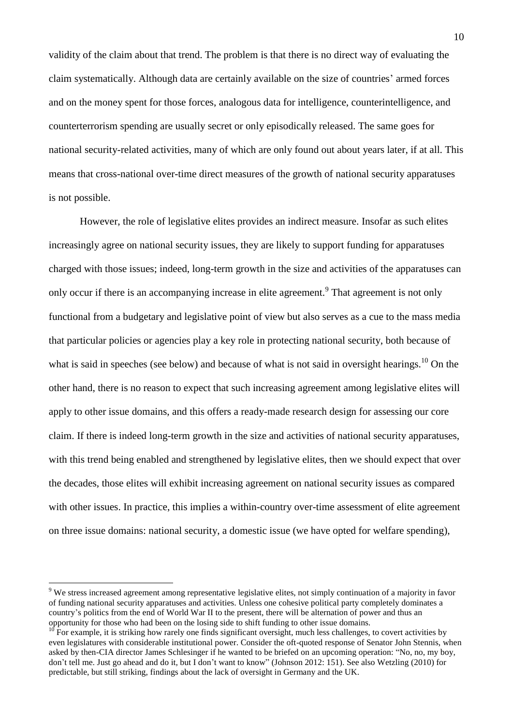validity of the claim about that trend. The problem is that there is no direct way of evaluating the claim systematically. Although data are certainly available on the size of countries' armed forces and on the money spent for those forces, analogous data for intelligence, counterintelligence, and counterterrorism spending are usually secret or only episodically released. The same goes for national security-related activities, many of which are only found out about years later, if at all. This means that cross-national over-time direct measures of the growth of national security apparatuses is not possible.

However, the role of legislative elites provides an indirect measure. Insofar as such elites increasingly agree on national security issues, they are likely to support funding for apparatuses charged with those issues; indeed, long-term growth in the size and activities of the apparatuses can only occur if there is an accompanying increase in elite agreement.<sup>9</sup> That agreement is not only functional from a budgetary and legislative point of view but also serves as a cue to the mass media that particular policies or agencies play a key role in protecting national security, both because of what is said in speeches (see below) and because of what is not said in oversight hearings.<sup>10</sup> On the other hand, there is no reason to expect that such increasing agreement among legislative elites will apply to other issue domains, and this offers a ready-made research design for assessing our core claim. If there is indeed long-term growth in the size and activities of national security apparatuses, with this trend being enabled and strengthened by legislative elites, then we should expect that over the decades, those elites will exhibit increasing agreement on national security issues as compared with other issues. In practice, this implies a within-country over-time assessment of elite agreement on three issue domains: national security, a domestic issue (we have opted for welfare spending),

<u>.</u>

<sup>&</sup>lt;sup>9</sup> We stress increased agreement among representative legislative elites, not simply continuation of a majority in favor of funding national security apparatuses and activities. Unless one cohesive political party completely dominates a country's politics from the end of World War II to the present, there will be alternation of power and thus an opportunity for those who had been on the losing side to shift funding to other issue domains.

 $10$  For example, it is striking how rarely one finds significant oversight, much less challenges, to covert activities by even legislatures with considerable institutional power. Consider the oft-quoted response of Senator John Stennis, when asked by then-CIA director James Schlesinger if he wanted to be briefed on an upcoming operation: "No, no, my boy, don't tell me. Just go ahead and do it, but I don't want to know" (Johnson 2012: 151). See also Wetzling (2010) for predictable, but still striking, findings about the lack of oversight in Germany and the UK.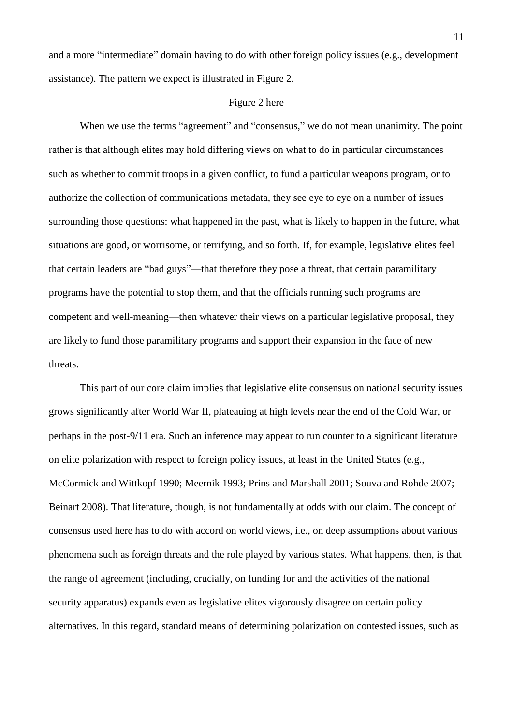and a more "intermediate" domain having to do with other foreign policy issues (e.g., development assistance). The pattern we expect is illustrated in Figure 2.

#### Figure 2 here

When we use the terms "agreement" and "consensus," we do not mean unanimity. The point rather is that although elites may hold differing views on what to do in particular circumstances such as whether to commit troops in a given conflict, to fund a particular weapons program, or to authorize the collection of communications metadata, they see eye to eye on a number of issues surrounding those questions: what happened in the past, what is likely to happen in the future, what situations are good, or worrisome, or terrifying, and so forth. If, for example, legislative elites feel that certain leaders are "bad guys"—that therefore they pose a threat, that certain paramilitary programs have the potential to stop them, and that the officials running such programs are competent and well-meaning—then whatever their views on a particular legislative proposal, they are likely to fund those paramilitary programs and support their expansion in the face of new threats.

This part of our core claim implies that legislative elite consensus on national security issues grows significantly after World War II, plateauing at high levels near the end of the Cold War, or perhaps in the post-9/11 era. Such an inference may appear to run counter to a significant literature on elite polarization with respect to foreign policy issues, at least in the United States (e.g., McCormick and Wittkopf 1990; Meernik 1993; Prins and Marshall 2001; Souva and Rohde 2007; Beinart 2008). That literature, though, is not fundamentally at odds with our claim. The concept of consensus used here has to do with accord on world views, i.e., on deep assumptions about various phenomena such as foreign threats and the role played by various states. What happens, then, is that the range of agreement (including, crucially, on funding for and the activities of the national security apparatus) expands even as legislative elites vigorously disagree on certain policy alternatives. In this regard, standard means of determining polarization on contested issues, such as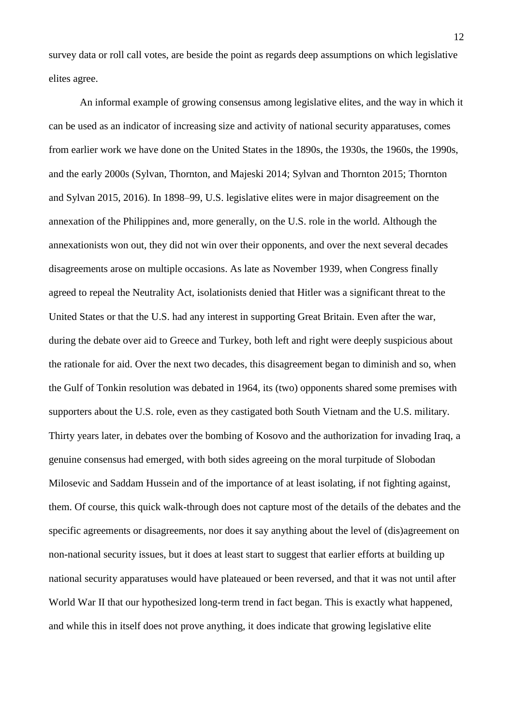survey data or roll call votes, are beside the point as regards deep assumptions on which legislative elites agree.

An informal example of growing consensus among legislative elites, and the way in which it can be used as an indicator of increasing size and activity of national security apparatuses, comes from earlier work we have done on the United States in the 1890s, the 1930s, the 1960s, the 1990s, and the early 2000s (Sylvan, Thornton, and Majeski 2014; Sylvan and Thornton 2015; Thornton and Sylvan 2015, 2016). In 1898–99, U.S. legislative elites were in major disagreement on the annexation of the Philippines and, more generally, on the U.S. role in the world. Although the annexationists won out, they did not win over their opponents, and over the next several decades disagreements arose on multiple occasions. As late as November 1939, when Congress finally agreed to repeal the Neutrality Act, isolationists denied that Hitler was a significant threat to the United States or that the U.S. had any interest in supporting Great Britain. Even after the war, during the debate over aid to Greece and Turkey, both left and right were deeply suspicious about the rationale for aid. Over the next two decades, this disagreement began to diminish and so, when the Gulf of Tonkin resolution was debated in 1964, its (two) opponents shared some premises with supporters about the U.S. role, even as they castigated both South Vietnam and the U.S. military. Thirty years later, in debates over the bombing of Kosovo and the authorization for invading Iraq, a genuine consensus had emerged, with both sides agreeing on the moral turpitude of Slobodan Milosevic and Saddam Hussein and of the importance of at least isolating, if not fighting against, them. Of course, this quick walk-through does not capture most of the details of the debates and the specific agreements or disagreements, nor does it say anything about the level of (dis)agreement on non-national security issues, but it does at least start to suggest that earlier efforts at building up national security apparatuses would have plateaued or been reversed, and that it was not until after World War II that our hypothesized long-term trend in fact began. This is exactly what happened, and while this in itself does not prove anything, it does indicate that growing legislative elite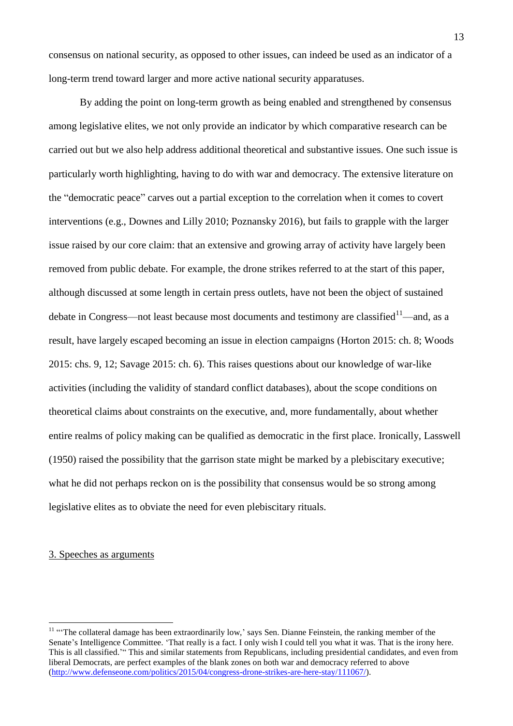consensus on national security, as opposed to other issues, can indeed be used as an indicator of a long-term trend toward larger and more active national security apparatuses.

By adding the point on long-term growth as being enabled and strengthened by consensus among legislative elites, we not only provide an indicator by which comparative research can be carried out but we also help address additional theoretical and substantive issues. One such issue is particularly worth highlighting, having to do with war and democracy. The extensive literature on the "democratic peace" carves out a partial exception to the correlation when it comes to covert interventions (e.g., Downes and Lilly 2010; Poznansky 2016), but fails to grapple with the larger issue raised by our core claim: that an extensive and growing array of activity have largely been removed from public debate. For example, the drone strikes referred to at the start of this paper, although discussed at some length in certain press outlets, have not been the object of sustained debate in Congress—not least because most documents and testimony are classified $11$ —and, as a result, have largely escaped becoming an issue in election campaigns (Horton 2015: ch. 8; Woods 2015: chs. 9, 12; Savage 2015: ch. 6). This raises questions about our knowledge of war-like activities (including the validity of standard conflict databases), about the scope conditions on theoretical claims about constraints on the executive, and, more fundamentally, about whether entire realms of policy making can be qualified as democratic in the first place. Ironically, Lasswell (1950) raised the possibility that the garrison state might be marked by a plebiscitary executive; what he did not perhaps reckon on is the possibility that consensus would be so strong among legislative elites as to obviate the need for even plebiscitary rituals.

#### 3. Speeches as arguments

 $11$  "The collateral damage has been extraordinarily low,' says Sen. Dianne Feinstein, the ranking member of the Senate's Intelligence Committee. 'That really is a fact. I only wish I could tell you what it was. That is the irony here. This is all classified.'" This and similar statements from Republicans, including presidential candidates, and even from liberal Democrats, are perfect examples of the blank zones on both war and democracy referred to above [\(http://www.defenseone.com/politics/2015/04/congress-drone-strikes-are-here-stay/111067/\)](http://www.defenseone.com/politics/2015/04/congress-drone-strikes-are-here-stay/111067/).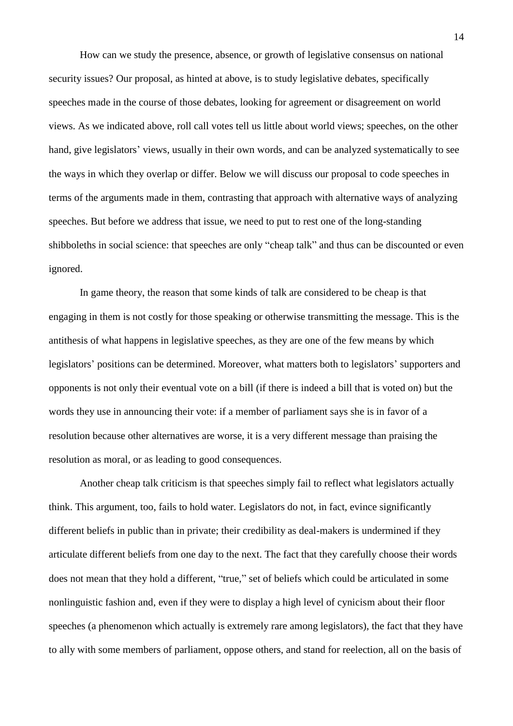How can we study the presence, absence, or growth of legislative consensus on national security issues? Our proposal, as hinted at above, is to study legislative debates, specifically speeches made in the course of those debates, looking for agreement or disagreement on world views. As we indicated above, roll call votes tell us little about world views; speeches, on the other hand, give legislators' views, usually in their own words, and can be analyzed systematically to see the ways in which they overlap or differ. Below we will discuss our proposal to code speeches in terms of the arguments made in them, contrasting that approach with alternative ways of analyzing speeches. But before we address that issue, we need to put to rest one of the long-standing shibboleths in social science: that speeches are only "cheap talk" and thus can be discounted or even ignored.

In game theory, the reason that some kinds of talk are considered to be cheap is that engaging in them is not costly for those speaking or otherwise transmitting the message. This is the antithesis of what happens in legislative speeches, as they are one of the few means by which legislators' positions can be determined. Moreover, what matters both to legislators' supporters and opponents is not only their eventual vote on a bill (if there is indeed a bill that is voted on) but the words they use in announcing their vote: if a member of parliament says she is in favor of a resolution because other alternatives are worse, it is a very different message than praising the resolution as moral, or as leading to good consequences.

Another cheap talk criticism is that speeches simply fail to reflect what legislators actually think. This argument, too, fails to hold water. Legislators do not, in fact, evince significantly different beliefs in public than in private; their credibility as deal-makers is undermined if they articulate different beliefs from one day to the next. The fact that they carefully choose their words does not mean that they hold a different, "true," set of beliefs which could be articulated in some nonlinguistic fashion and, even if they were to display a high level of cynicism about their floor speeches (a phenomenon which actually is extremely rare among legislators), the fact that they have to ally with some members of parliament, oppose others, and stand for reelection, all on the basis of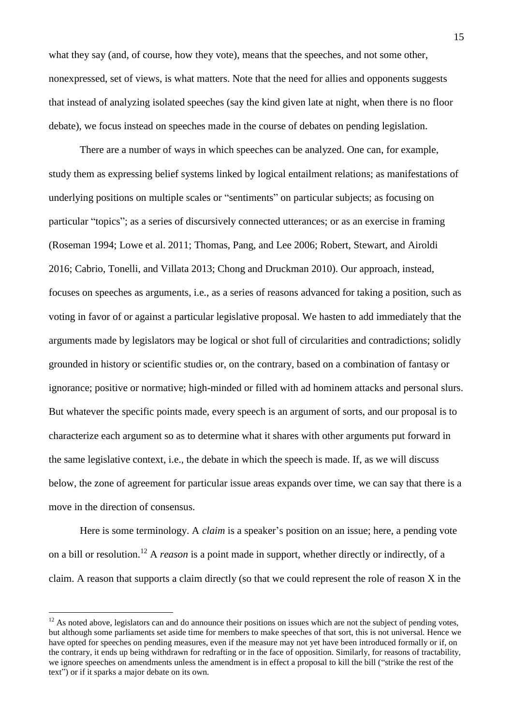what they say (and, of course, how they vote), means that the speeches, and not some other, nonexpressed, set of views, is what matters. Note that the need for allies and opponents suggests that instead of analyzing isolated speeches (say the kind given late at night, when there is no floor debate), we focus instead on speeches made in the course of debates on pending legislation.

There are a number of ways in which speeches can be analyzed. One can, for example, study them as expressing belief systems linked by logical entailment relations; as manifestations of underlying positions on multiple scales or "sentiments" on particular subjects; as focusing on particular "topics"; as a series of discursively connected utterances; or as an exercise in framing (Roseman 1994; Lowe et al. 2011; Thomas, Pang, and Lee 2006; Robert, Stewart, and Airoldi 2016; Cabrio, Tonelli, and Villata 2013; Chong and Druckman 2010). Our approach, instead, focuses on speeches as arguments, i.e., as a series of reasons advanced for taking a position, such as voting in favor of or against a particular legislative proposal. We hasten to add immediately that the arguments made by legislators may be logical or shot full of circularities and contradictions; solidly grounded in history or scientific studies or, on the contrary, based on a combination of fantasy or ignorance; positive or normative; high-minded or filled with ad hominem attacks and personal slurs. But whatever the specific points made, every speech is an argument of sorts, and our proposal is to characterize each argument so as to determine what it shares with other arguments put forward in the same legislative context, i.e., the debate in which the speech is made. If, as we will discuss below, the zone of agreement for particular issue areas expands over time, we can say that there is a move in the direction of consensus.

Here is some terminology. A *claim* is a speaker's position on an issue; here, a pending vote on a bill or resolution.<sup>12</sup> A *reason* is a point made in support, whether directly or indirectly, of a claim. A reason that supports a claim directly (so that we could represent the role of reason X in the

<u>.</u>

 $12$  As noted above, legislators can and do announce their positions on issues which are not the subject of pending votes. but although some parliaments set aside time for members to make speeches of that sort, this is not universal. Hence we have opted for speeches on pending measures, even if the measure may not yet have been introduced formally or if, on the contrary, it ends up being withdrawn for redrafting or in the face of opposition. Similarly, for reasons of tractability, we ignore speeches on amendments unless the amendment is in effect a proposal to kill the bill ("strike the rest of the text") or if it sparks a major debate on its own.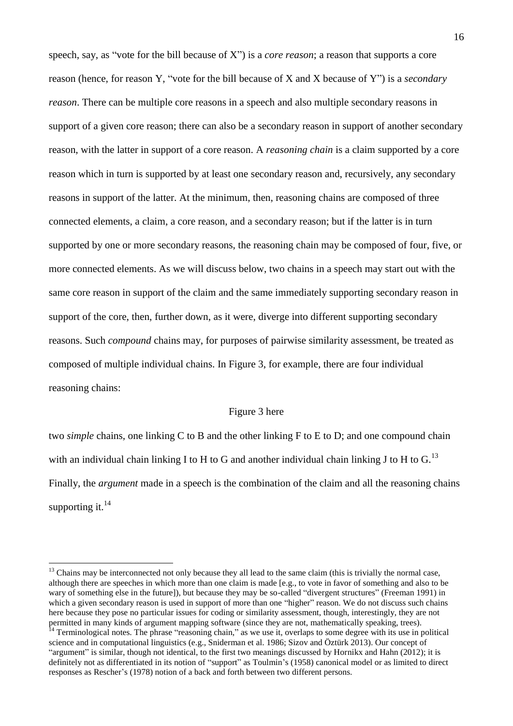speech, say, as "vote for the bill because of X") is a *core reason*; a reason that supports a core reason (hence, for reason Y, "vote for the bill because of X and X because of Y") is a *secondary reason*. There can be multiple core reasons in a speech and also multiple secondary reasons in support of a given core reason; there can also be a secondary reason in support of another secondary reason, with the latter in support of a core reason. A *reasoning chain* is a claim supported by a core reason which in turn is supported by at least one secondary reason and, recursively, any secondary reasons in support of the latter. At the minimum, then, reasoning chains are composed of three connected elements, a claim, a core reason, and a secondary reason; but if the latter is in turn supported by one or more secondary reasons, the reasoning chain may be composed of four, five, or more connected elements. As we will discuss below, two chains in a speech may start out with the same core reason in support of the claim and the same immediately supporting secondary reason in support of the core, then, further down, as it were, diverge into different supporting secondary reasons. Such *compound* chains may, for purposes of pairwise similarity assessment, be treated as composed of multiple individual chains. In Figure 3, for example, there are four individual reasoning chains:

### Figure 3 here

two *simple* chains, one linking C to B and the other linking F to E to D; and one compound chain with an individual chain linking I to H to G and another individual chain linking J to H to G.<sup>13</sup> Finally, the *argument* made in a speech is the combination of the claim and all the reasoning chains supporting it. $^{14}$ 

<sup>&</sup>lt;sup>13</sup> Chains may be interconnected not only because they all lead to the same claim (this is trivially the normal case, although there are speeches in which more than one claim is made [e.g., to vote in favor of something and also to be wary of something else in the future]), but because they may be so-called "divergent structures" (Freeman 1991) in which a given secondary reason is used in support of more than one "higher" reason. We do not discuss such chains here because they pose no particular issues for coding or similarity assessment, though, interestingly, they are not permitted in many kinds of argument mapping software (since they are not, mathematically speaking, trees).

<sup>&</sup>lt;sup>14</sup> Terminological notes. The phrase "reasoning chain," as we use it, overlaps to some degree with its use in political science and in computational linguistics (e.g., Sniderman et al. 1986; Sizov and Öztürk 2013). Our concept of "argument" is similar, though not identical, to the first two meanings discussed by Hornikx and Hahn (2012); it is definitely not as differentiated in its notion of "support" as Toulmin's (1958) canonical model or as limited to direct responses as Rescher's (1978) notion of a back and forth between two different persons.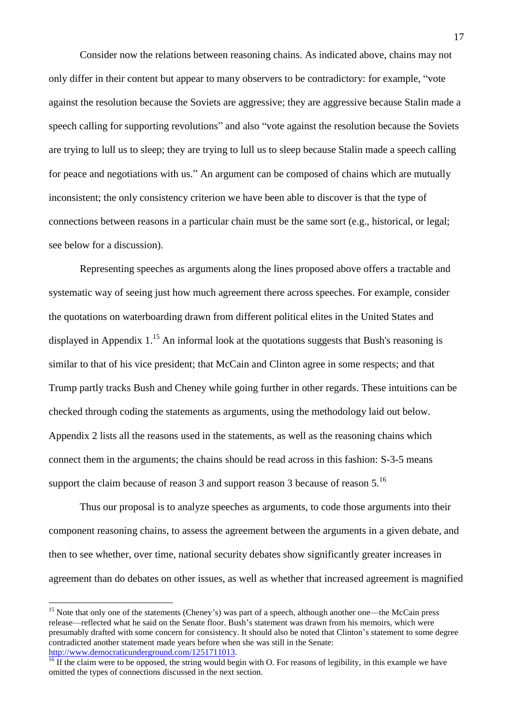Consider now the relations between reasoning chains. As indicated above, chains may not only differ in their content but appear to many observers to be contradictory: for example, "vote against the resolution because the Soviets are aggressive; they are aggressive because Stalin made a speech calling for supporting revolutions" and also "vote against the resolution because the Soviets are trying to lull us to sleep; they are trying to lull us to sleep because Stalin made a speech calling for peace and negotiations with us." An argument can be composed of chains which are mutually inconsistent; the only consistency criterion we have been able to discover is that the type of connections between reasons in a particular chain must be the same sort (e.g., historical, or legal; see below for a discussion).

Representing speeches as arguments along the lines proposed above offers a tractable and systematic way of seeing just how much agreement there across speeches. For example, consider the quotations on waterboarding drawn from different political elites in the United States and displayed in Appendix  $1^{15}$  An informal look at the quotations suggests that Bush's reasoning is similar to that of his vice president; that McCain and Clinton agree in some respects; and that Trump partly tracks Bush and Cheney while going further in other regards. These intuitions can be checked through coding the statements as arguments, using the methodology laid out below. Appendix 2 lists all the reasons used in the statements, as well as the reasoning chains which connect them in the arguments; the chains should be read across in this fashion: S-3-5 means support the claim because of reason 3 and support reason 3 because of reason  $5^{16}$ 

Thus our proposal is to analyze speeches as arguments, to code those arguments into their component reasoning chains, to assess the agreement between the arguments in a given debate, and then to see whether, over time, national security debates show significantly greater increases in agreement than do debates on other issues, as well as whether that increased agreement is magnified

<sup>&</sup>lt;sup>15</sup> Note that only one of the statements (Cheney's) was part of a speech, although another one—the McCain press release—reflected what he said on the Senate floor. Bush's statement was drawn from his memoirs, which were presumably drafted with some concern for consistency. It should also be noted that Clinton's statement to some degree contradicted another statement made years before when she was still in the Senate: [http://www.democraticunderground.com/1251711013.](http://www.democraticunderground.com/1251711013)

 $\frac{16}{16}$  If the claim were to be opposed, the string would begin with O. For reasons of legibility, in this example we have omitted the types of connections discussed in the next section.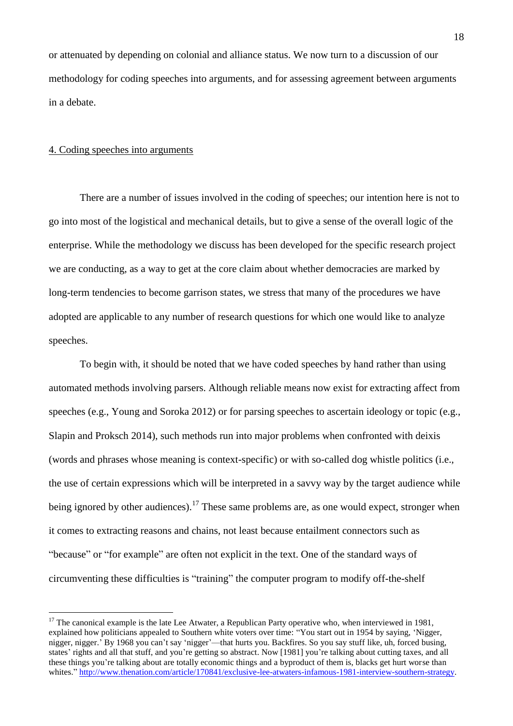or attenuated by depending on colonial and alliance status. We now turn to a discussion of our methodology for coding speeches into arguments, and for assessing agreement between arguments in a debate.

#### 4. Coding speeches into arguments

<u>.</u>

There are a number of issues involved in the coding of speeches; our intention here is not to go into most of the logistical and mechanical details, but to give a sense of the overall logic of the enterprise. While the methodology we discuss has been developed for the specific research project we are conducting, as a way to get at the core claim about whether democracies are marked by long-term tendencies to become garrison states, we stress that many of the procedures we have adopted are applicable to any number of research questions for which one would like to analyze speeches.

To begin with, it should be noted that we have coded speeches by hand rather than using automated methods involving parsers. Although reliable means now exist for extracting affect from speeches (e.g., Young and Soroka 2012) or for parsing speeches to ascertain ideology or topic (e.g., Slapin and Proksch 2014), such methods run into major problems when confronted with deixis (words and phrases whose meaning is context-specific) or with so-called dog whistle politics (i.e., the use of certain expressions which will be interpreted in a savvy way by the target audience while being ignored by other audiences).<sup>17</sup> These same problems are, as one would expect, stronger when it comes to extracting reasons and chains, not least because entailment connectors such as "because" or "for example" are often not explicit in the text. One of the standard ways of circumventing these difficulties is "training" the computer program to modify off-the-shelf

<sup>&</sup>lt;sup>17</sup> The canonical example is the late Lee Atwater, a Republican Party operative who, when interviewed in 1981, explained how politicians appealed to Southern white voters over time: "You start out in 1954 by saying, 'Nigger, nigger, nigger.' By 1968 you can't say 'nigger'—that hurts you. Backfires. So you say stuff like, uh, forced busing, states' rights and all that stuff, and you're getting so abstract. Now [1981] you're talking about cutting taxes, and all these things you're talking about are totally economic things and a byproduct of them is, blacks get hurt worse than whites." [http://www.thenation.com/article/170841/exclusive-lee-atwaters-infamous-1981-interview-southern-strategy.](http://www.thenation.com/article/170841/exclusive-lee-atwaters-infamous-1981-interview-southern-strategy)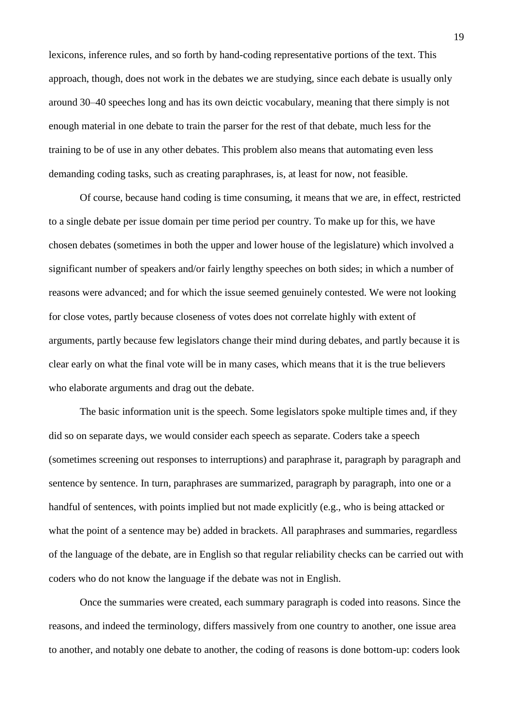lexicons, inference rules, and so forth by hand-coding representative portions of the text. This approach, though, does not work in the debates we are studying, since each debate is usually only around 30–40 speeches long and has its own deictic vocabulary, meaning that there simply is not enough material in one debate to train the parser for the rest of that debate, much less for the training to be of use in any other debates. This problem also means that automating even less demanding coding tasks, such as creating paraphrases, is, at least for now, not feasible.

Of course, because hand coding is time consuming, it means that we are, in effect, restricted to a single debate per issue domain per time period per country. To make up for this, we have chosen debates (sometimes in both the upper and lower house of the legislature) which involved a significant number of speakers and/or fairly lengthy speeches on both sides; in which a number of reasons were advanced; and for which the issue seemed genuinely contested. We were not looking for close votes, partly because closeness of votes does not correlate highly with extent of arguments, partly because few legislators change their mind during debates, and partly because it is clear early on what the final vote will be in many cases, which means that it is the true believers who elaborate arguments and drag out the debate.

The basic information unit is the speech. Some legislators spoke multiple times and, if they did so on separate days, we would consider each speech as separate. Coders take a speech (sometimes screening out responses to interruptions) and paraphrase it, paragraph by paragraph and sentence by sentence. In turn, paraphrases are summarized, paragraph by paragraph, into one or a handful of sentences, with points implied but not made explicitly (e.g., who is being attacked or what the point of a sentence may be) added in brackets. All paraphrases and summaries, regardless of the language of the debate, are in English so that regular reliability checks can be carried out with coders who do not know the language if the debate was not in English.

Once the summaries were created, each summary paragraph is coded into reasons. Since the reasons, and indeed the terminology, differs massively from one country to another, one issue area to another, and notably one debate to another, the coding of reasons is done bottom-up: coders look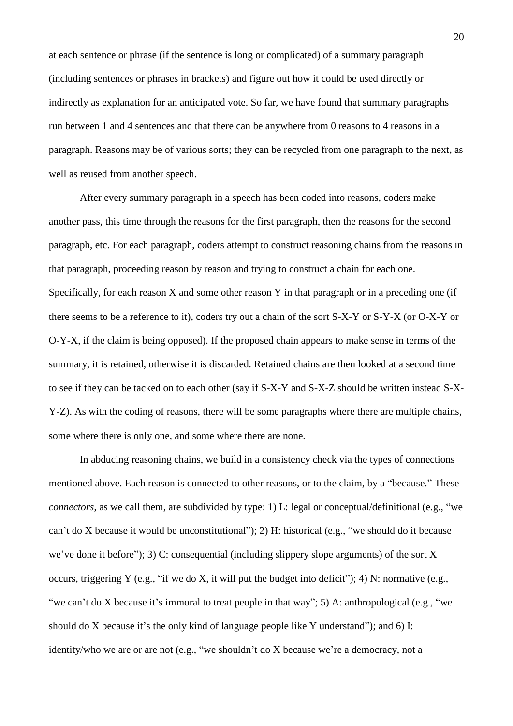at each sentence or phrase (if the sentence is long or complicated) of a summary paragraph (including sentences or phrases in brackets) and figure out how it could be used directly or indirectly as explanation for an anticipated vote. So far, we have found that summary paragraphs run between 1 and 4 sentences and that there can be anywhere from 0 reasons to 4 reasons in a paragraph. Reasons may be of various sorts; they can be recycled from one paragraph to the next, as well as reused from another speech.

After every summary paragraph in a speech has been coded into reasons, coders make another pass, this time through the reasons for the first paragraph, then the reasons for the second paragraph, etc. For each paragraph, coders attempt to construct reasoning chains from the reasons in that paragraph, proceeding reason by reason and trying to construct a chain for each one. Specifically, for each reason X and some other reason Y in that paragraph or in a preceding one (if there seems to be a reference to it), coders try out a chain of the sort S-X-Y or S-Y-X (or O-X-Y or O-Y-X, if the claim is being opposed). If the proposed chain appears to make sense in terms of the summary, it is retained, otherwise it is discarded. Retained chains are then looked at a second time to see if they can be tacked on to each other (say if S-X-Y and S-X-Z should be written instead S-X-Y-Z). As with the coding of reasons, there will be some paragraphs where there are multiple chains, some where there is only one, and some where there are none.

In abducing reasoning chains, we build in a consistency check via the types of connections mentioned above. Each reason is connected to other reasons, or to the claim, by a "because." These *connectors*, as we call them, are subdivided by type: 1) L: legal or conceptual/definitional (e.g., "we can't do X because it would be unconstitutional"); 2) H: historical (e.g., "we should do it because we've done it before"); 3) C: consequential (including slippery slope arguments) of the sort X occurs, triggering Y (e.g., "if we do X, it will put the budget into deficit"); 4) N: normative (e.g., "we can't do X because it's immoral to treat people in that way"; 5) A: anthropological (e.g., "we should do X because it's the only kind of language people like Y understand"); and 6) I: identity/who we are or are not (e.g., "we shouldn't do X because we're a democracy, not a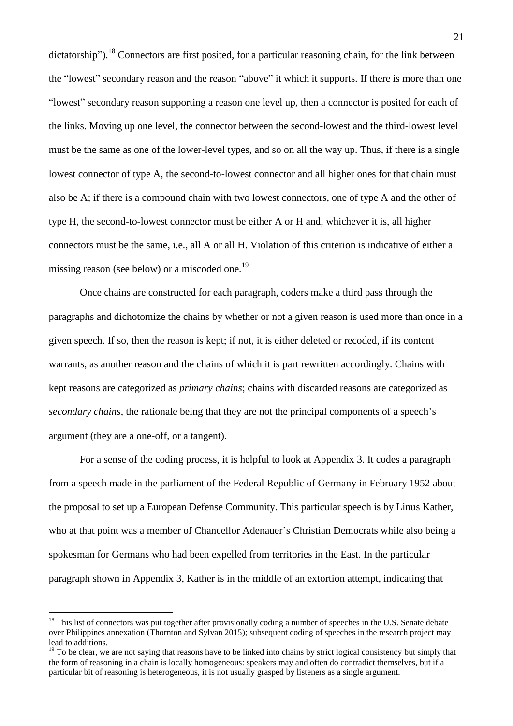dictatorship").<sup>18</sup> Connectors are first posited, for a particular reasoning chain, for the link between the "lowest" secondary reason and the reason "above" it which it supports. If there is more than one "lowest" secondary reason supporting a reason one level up, then a connector is posited for each of the links. Moving up one level, the connector between the second-lowest and the third-lowest level must be the same as one of the lower-level types, and so on all the way up. Thus, if there is a single lowest connector of type A, the second-to-lowest connector and all higher ones for that chain must also be A; if there is a compound chain with two lowest connectors, one of type A and the other of type H, the second-to-lowest connector must be either A or H and, whichever it is, all higher connectors must be the same, i.e., all A or all H. Violation of this criterion is indicative of either a missing reason (see below) or a miscoded one.<sup>19</sup>

Once chains are constructed for each paragraph, coders make a third pass through the paragraphs and dichotomize the chains by whether or not a given reason is used more than once in a given speech. If so, then the reason is kept; if not, it is either deleted or recoded, if its content warrants, as another reason and the chains of which it is part rewritten accordingly. Chains with kept reasons are categorized as *primary chains*; chains with discarded reasons are categorized as *secondary chains*, the rationale being that they are not the principal components of a speech's argument (they are a one-off, or a tangent).

For a sense of the coding process, it is helpful to look at Appendix 3. It codes a paragraph from a speech made in the parliament of the Federal Republic of Germany in February 1952 about the proposal to set up a European Defense Community. This particular speech is by Linus Kather, who at that point was a member of Chancellor Adenauer's Christian Democrats while also being a spokesman for Germans who had been expelled from territories in the East. In the particular paragraph shown in Appendix 3, Kather is in the middle of an extortion attempt, indicating that

<u>.</u>

 $18$  This list of connectors was put together after provisionally coding a number of speeches in the U.S. Senate debate over Philippines annexation (Thornton and Sylvan 2015); subsequent coding of speeches in the research project may lead to additions.

<sup>&</sup>lt;sup>19</sup> To be clear, we are not saying that reasons have to be linked into chains by strict logical consistency but simply that the form of reasoning in a chain is locally homogeneous: speakers may and often do contradict themselves, but if a particular bit of reasoning is heterogeneous, it is not usually grasped by listeners as a single argument.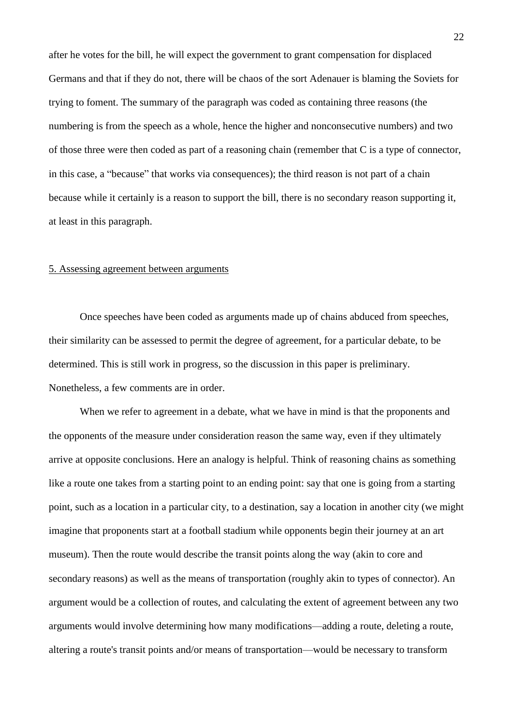after he votes for the bill, he will expect the government to grant compensation for displaced Germans and that if they do not, there will be chaos of the sort Adenauer is blaming the Soviets for trying to foment. The summary of the paragraph was coded as containing three reasons (the numbering is from the speech as a whole, hence the higher and nonconsecutive numbers) and two of those three were then coded as part of a reasoning chain (remember that C is a type of connector, in this case, a "because" that works via consequences); the third reason is not part of a chain because while it certainly is a reason to support the bill, there is no secondary reason supporting it, at least in this paragraph.

#### 5. Assessing agreement between arguments

Once speeches have been coded as arguments made up of chains abduced from speeches, their similarity can be assessed to permit the degree of agreement, for a particular debate, to be determined. This is still work in progress, so the discussion in this paper is preliminary. Nonetheless, a few comments are in order.

When we refer to agreement in a debate, what we have in mind is that the proponents and the opponents of the measure under consideration reason the same way, even if they ultimately arrive at opposite conclusions. Here an analogy is helpful. Think of reasoning chains as something like a route one takes from a starting point to an ending point: say that one is going from a starting point, such as a location in a particular city, to a destination, say a location in another city (we might imagine that proponents start at a football stadium while opponents begin their journey at an art museum). Then the route would describe the transit points along the way (akin to core and secondary reasons) as well as the means of transportation (roughly akin to types of connector). An argument would be a collection of routes, and calculating the extent of agreement between any two arguments would involve determining how many modifications—adding a route, deleting a route, altering a route's transit points and/or means of transportation—would be necessary to transform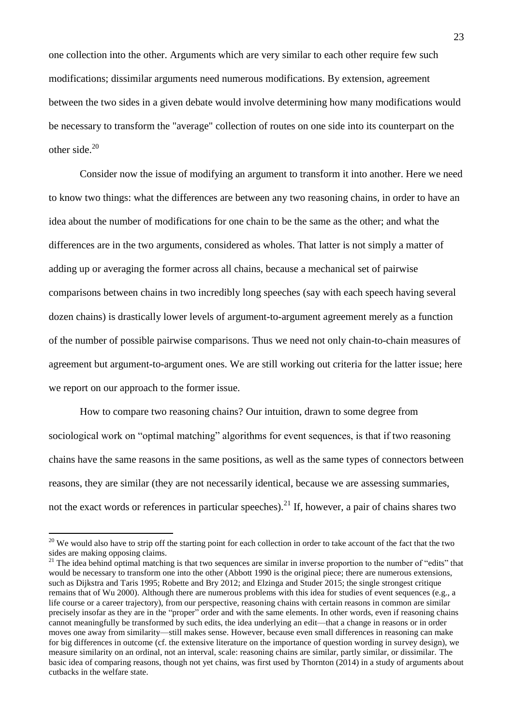one collection into the other. Arguments which are very similar to each other require few such modifications; dissimilar arguments need numerous modifications. By extension, agreement between the two sides in a given debate would involve determining how many modifications would be necessary to transform the "average" collection of routes on one side into its counterpart on the other side.<sup>20</sup>

Consider now the issue of modifying an argument to transform it into another. Here we need to know two things: what the differences are between any two reasoning chains, in order to have an idea about the number of modifications for one chain to be the same as the other; and what the differences are in the two arguments, considered as wholes. That latter is not simply a matter of adding up or averaging the former across all chains, because a mechanical set of pairwise comparisons between chains in two incredibly long speeches (say with each speech having several dozen chains) is drastically lower levels of argument-to-argument agreement merely as a function of the number of possible pairwise comparisons. Thus we need not only chain-to-chain measures of agreement but argument-to-argument ones. We are still working out criteria for the latter issue; here we report on our approach to the former issue.

How to compare two reasoning chains? Our intuition, drawn to some degree from sociological work on "optimal matching" algorithms for event sequences, is that if two reasoning chains have the same reasons in the same positions, as well as the same types of connectors between reasons, they are similar (they are not necessarily identical, because we are assessing summaries, not the exact words or references in particular speeches).<sup>21</sup> If, however, a pair of chains shares two

 $20$  We would also have to strip off the starting point for each collection in order to take account of the fact that the two sides are making opposing claims.

<sup>&</sup>lt;sup>21</sup> The idea behind optimal matching is that two sequences are similar in inverse proportion to the number of "edits" that would be necessary to transform one into the other (Abbott 1990 is the original piece; there are numerous extensions, such as Dijkstra and Taris 1995; Robette and Bry 2012; and Elzinga and Studer 2015; the single strongest critique remains that of Wu 2000). Although there are numerous problems with this idea for studies of event sequences (e.g., a life course or a career trajectory), from our perspective, reasoning chains with certain reasons in common are similar precisely insofar as they are in the "proper" order and with the same elements. In other words, even if reasoning chains cannot meaningfully be transformed by such edits, the idea underlying an edit—that a change in reasons or in order moves one away from similarity—still makes sense. However, because even small differences in reasoning can make for big differences in outcome (cf. the extensive literature on the importance of question wording in survey design), we measure similarity on an ordinal, not an interval, scale: reasoning chains are similar, partly similar, or dissimilar. The basic idea of comparing reasons, though not yet chains, was first used by Thornton (2014) in a study of arguments about cutbacks in the welfare state.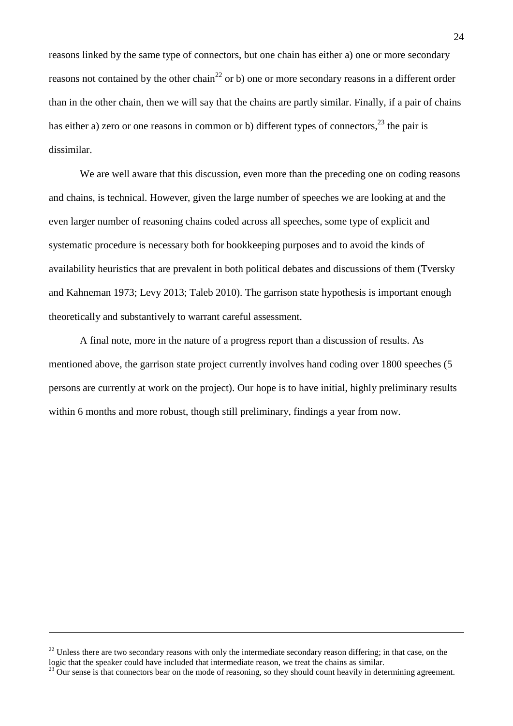reasons linked by the same type of connectors, but one chain has either a) one or more secondary reasons not contained by the other chain<sup>22</sup> or b) one or more secondary reasons in a different order than in the other chain, then we will say that the chains are partly similar. Finally, if a pair of chains has either a) zero or one reasons in common or b) different types of connectors,  $2<sup>3</sup>$  the pair is dissimilar.

We are well aware that this discussion, even more than the preceding one on coding reasons and chains, is technical. However, given the large number of speeches we are looking at and the even larger number of reasoning chains coded across all speeches, some type of explicit and systematic procedure is necessary both for bookkeeping purposes and to avoid the kinds of availability heuristics that are prevalent in both political debates and discussions of them (Tversky and Kahneman 1973; Levy 2013; Taleb 2010). The garrison state hypothesis is important enough theoretically and substantively to warrant careful assessment.

A final note, more in the nature of a progress report than a discussion of results. As mentioned above, the garrison state project currently involves hand coding over 1800 speeches (5 persons are currently at work on the project). Our hope is to have initial, highly preliminary results within 6 months and more robust, though still preliminary, findings a year from now.

<sup>&</sup>lt;sup>22</sup> Unless there are two secondary reasons with only the intermediate secondary reason differing; in that case, on the logic that the speaker could have included that intermediate reason, we treat the chains as similar.

 $23$  Our sense is that connectors bear on the mode of reasoning, so they should count heavily in determining agreement.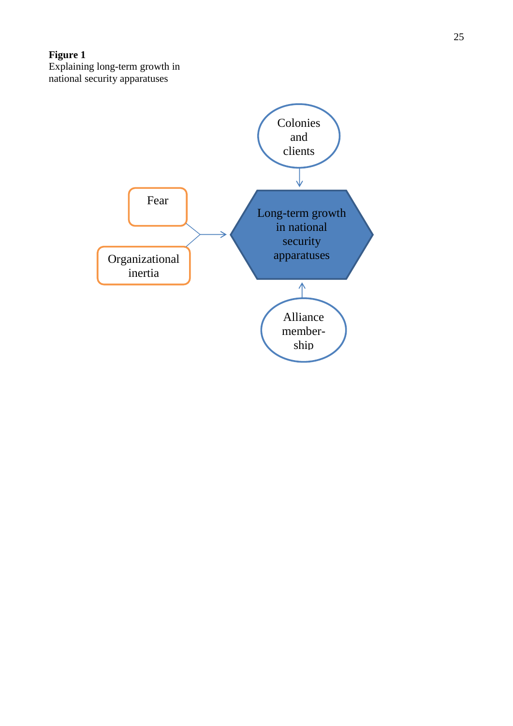## **Figure 1**

Explaining long-term growth in national security apparatuses

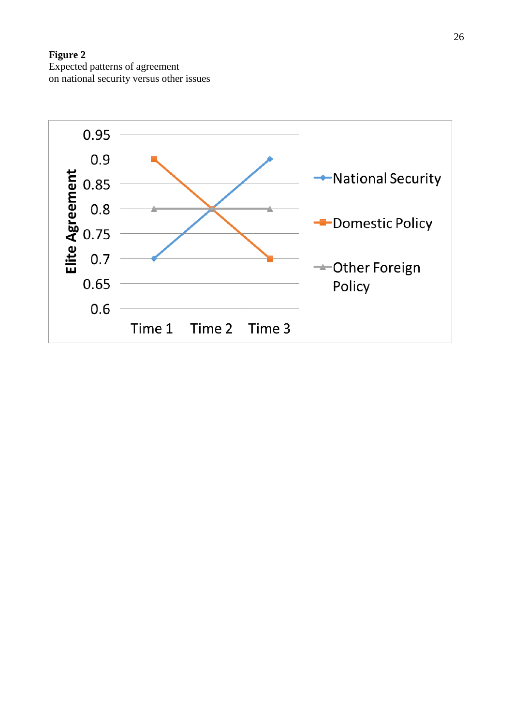### **Figure 2** Expected patterns of agreement on national security versus other issues

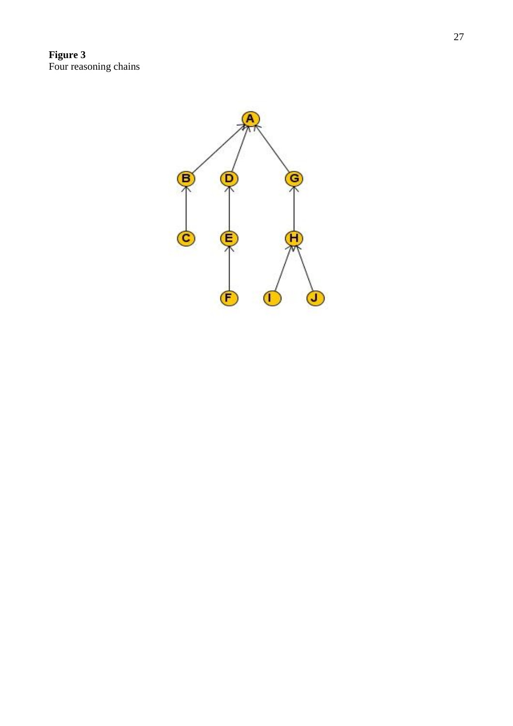**Figure 3** Four reasoning chains

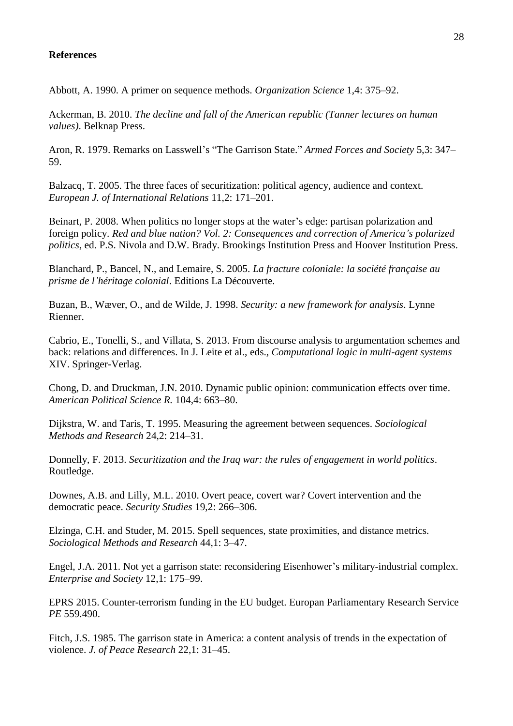### **References**

Abbott, A. 1990. A primer on sequence methods. *Organization Science* 1,4: 375–92.

Ackerman, B. 2010. *The decline and fall of the American republic (Tanner lectures on human values)*. Belknap Press.

Aron, R. 1979. Remarks on Lasswell's "The Garrison State." *Armed Forces and Society* 5,3: 347– 59.

Balzacq, T. 2005. The three faces of securitization: political agency, audience and context. *European J. of International Relations* 11,2: 171–201.

Beinart, P. 2008. When politics no longer stops at the water's edge: partisan polarization and foreign policy. *Red and blue nation? Vol. 2: Consequences and correction of America's polarized politics*, ed. P.S. Nivola and D.W. Brady. Brookings Institution Press and Hoover Institution Press.

Blanchard, P., Bancel, N., and Lemaire, S. 2005. *La fracture coloniale: la société française au prisme de l'héritage colonial*. Editions La Découverte.

Buzan, B., Wæver, O., and de Wilde, J. 1998. *Security: a new framework for analysis*. Lynne Rienner.

Cabrio, E., Tonelli, S., and Villata, S. 2013. From discourse analysis to argumentation schemes and back: relations and differences. In J. Leite et al., eds., *Computational logic in multi-agent systems* XIV. Springer-Verlag.

Chong, D. and Druckman, J.N. 2010. Dynamic public opinion: communication effects over time. *American Political Science R.* 104,4: 663–80.

Dijkstra, W. and Taris, T. 1995. Measuring the agreement between sequences. *Sociological Methods and Research* 24,2: 214–31.

Donnelly, F. 2013. *Securitization and the Iraq war: the rules of engagement in world politics*. Routledge.

Downes, A.B. and Lilly, M.L. 2010. Overt peace, covert war? Covert intervention and the democratic peace. *Security Studies* 19,2: 266–306.

Elzinga, C.H. and Studer, M. 2015. Spell sequences, state proximities, and distance metrics. *Sociological Methods and Research* 44,1: 3–47.

Engel, J.A. 2011. Not yet a garrison state: reconsidering Eisenhower's military-industrial complex. *Enterprise and Society* 12,1: 175–99.

EPRS 2015. Counter-terrorism funding in the EU budget. Europan Parliamentary Research Service *PE* 559.490.

Fitch, J.S. 1985. The garrison state in America: a content analysis of trends in the expectation of violence. *J. of Peace Research* 22,1: 31–45.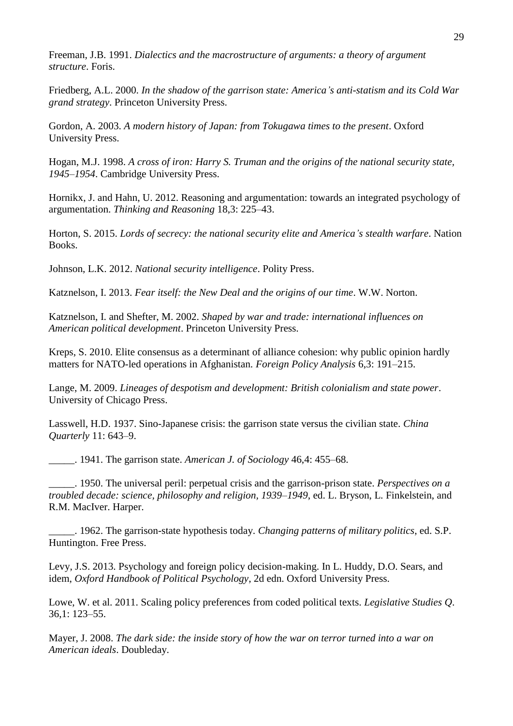Freeman, J.B. 1991. *Dialectics and the macrostructure of arguments: a theory of argument structure*. Foris.

Friedberg, A.L. 2000. *In the shadow of the garrison state: America's anti-statism and its Cold War grand strategy*. Princeton University Press.

Gordon, A. 2003. *A modern history of Japan: from Tokugawa times to the present*. Oxford University Press.

Hogan, M.J. 1998. *A cross of iron: Harry S. Truman and the origins of the national security state, 1945–1954*. Cambridge University Press.

Hornikx, J. and Hahn, U. 2012. Reasoning and argumentation: towards an integrated psychology of argumentation. *Thinking and Reasoning* 18,3: 225–43.

Horton, S. 2015. *Lords of secrecy: the national security elite and America's stealth warfare*. Nation Books.

Johnson, L.K. 2012. *National security intelligence*. Polity Press.

Katznelson, I. 2013. *Fear itself: the New Deal and the origins of our time*. W.W. Norton.

Katznelson, I. and Shefter, M. 2002. *Shaped by war and trade: international influences on American political development*. Princeton University Press.

Kreps, S. 2010. Elite consensus as a determinant of alliance cohesion: why public opinion hardly matters for NATO-led operations in Afghanistan. *Foreign Policy Analysis* 6,3: 191–215.

Lange, M. 2009. *Lineages of despotism and development: British colonialism and state power*. University of Chicago Press.

Lasswell, H.D. 1937. Sino-Japanese crisis: the garrison state versus the civilian state. *China Quarterly* 11: 643–9.

\_\_\_\_\_. 1941. The garrison state. *American J. of Sociology* 46,4: 455–68.

\_\_\_\_\_. 1950. The universal peril: perpetual crisis and the garrison-prison state. *Perspectives on a troubled decade: science, philosophy and religion, 1939–1949*, ed. L. Bryson, L. Finkelstein, and R.M. MacIver. Harper.

\_\_\_\_\_. 1962. The garrison-state hypothesis today. *Changing patterns of military politics*, ed. S.P. Huntington. Free Press.

Levy, J.S. 2013. Psychology and foreign policy decision-making. In L. Huddy, D.O. Sears, and idem, *Oxford Handbook of Political Psychology*, 2d edn. Oxford University Press.

Lowe, W. et al. 2011. Scaling policy preferences from coded political texts. *Legislative Studies Q*. 36,1: 123–55.

Mayer, J. 2008. *The dark side: the inside story of how the war on terror turned into a war on American ideals*. Doubleday.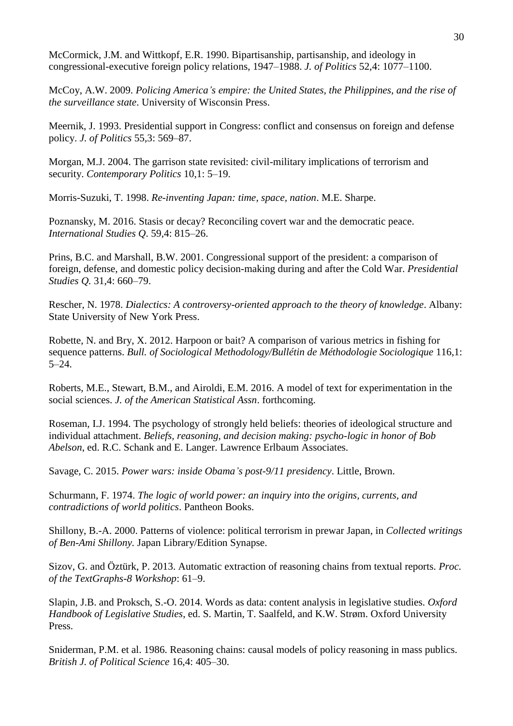McCormick, J.M. and Wittkopf, E.R. 1990. Bipartisanship, partisanship, and ideology in congressional-executive foreign policy relations, 1947–1988. *J. of Politics* 52,4: 1077–1100.

McCoy, A.W. 2009. *Policing America's empire: the United States, the Philippines, and the rise of the surveillance state*. University of Wisconsin Press.

Meernik, J. 1993. Presidential support in Congress: conflict and consensus on foreign and defense policy. *J. of Politics* 55,3: 569–87.

Morgan, M.J. 2004. The garrison state revisited: civil-military implications of terrorism and security. *Contemporary Politics* 10,1: 5–19.

Morris-Suzuki, T. 1998. *Re-inventing Japan: time, space, nation*. M.E. Sharpe.

Poznansky, M. 2016. Stasis or decay? Reconciling covert war and the democratic peace. *International Studies Q*. 59,4: 815–26.

Prins, B.C. and Marshall, B.W. 2001. Congressional support of the president: a comparison of foreign, defense, and domestic policy decision-making during and after the Cold War. *Presidential Studies Q.* 31,4: 660–79.

Rescher, N. 1978. *Dialectics: A controversy-oriented approach to the theory of knowledge*. Albany: State University of New York Press.

Robette, N. and Bry, X. 2012. Harpoon or bait? A comparison of various metrics in fishing for sequence patterns. *Bull. of Sociological Methodology/Bullétin de Méthodologie Sociologique* 116,1: 5–24.

Roberts, M.E., Stewart, B.M., and Airoldi, E.M. 2016. A model of text for experimentation in the social sciences. *J. of the American Statistical Assn*. forthcoming.

Roseman, I.J. 1994. The psychology of strongly held beliefs: theories of ideological structure and individual attachment. *Beliefs, reasoning, and decision making: psycho-logic in honor of Bob Abelson*, ed. R.C. Schank and E. Langer. Lawrence Erlbaum Associates.

Savage, C. 2015. *Power wars: inside Obama's post-9/11 presidency*. Little, Brown.

Schurmann, F. 1974. *The logic of world power: an inquiry into the origins, currents, and contradictions of world politics*. Pantheon Books.

Shillony, B.-A. 2000. Patterns of violence: political terrorism in prewar Japan, in *Collected writings of Ben-Ami Shillony.* Japan Library/Edition Synapse.

Sizov, G. and Öztürk, P. 2013. Automatic extraction of reasoning chains from textual reports. *Proc. of the TextGraphs-8 Workshop*: 61–9.

Slapin, J.B. and Proksch, S.-O. 2014. Words as data: content analysis in legislative studies. *Oxford Handbook of Legislative Studies*, ed. S. Martin, T. Saalfeld, and K.W. Strøm. Oxford University Press.

Sniderman, P.M. et al. 1986. Reasoning chains: causal models of policy reasoning in mass publics. *British J. of Political Science* 16,4: 405–30.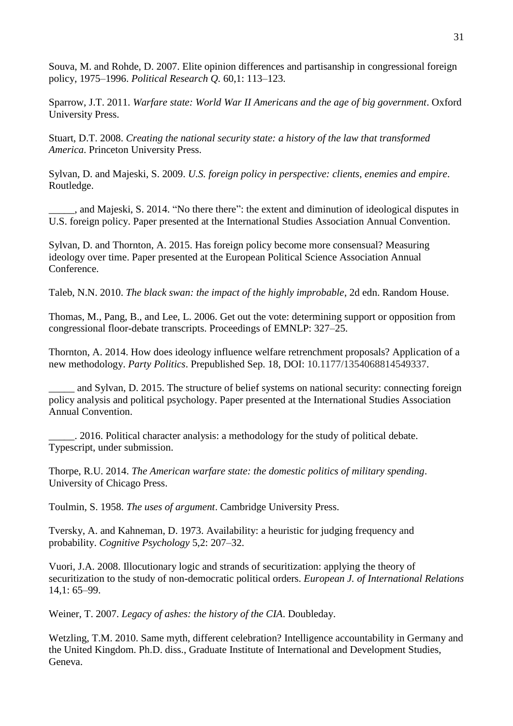Souva, M. and Rohde, D. 2007. Elite opinion differences and partisanship in congressional foreign policy, 1975–1996. *Political Research Q.* 60,1: 113–123.

Sparrow, J.T. 2011. *Warfare state: World War II Americans and the age of big government*. Oxford University Press.

Stuart, D.T. 2008. *Creating the national security state: a history of the law that transformed America*. Princeton University Press.

Sylvan, D. and Majeski, S. 2009. *U.S. foreign policy in perspective: clients, enemies and empire*. Routledge.

\_\_\_\_\_, and Majeski, S. 2014. "No there there": the extent and diminution of ideological disputes in U.S. foreign policy. Paper presented at the International Studies Association Annual Convention.

Sylvan, D. and Thornton, A. 2015. Has foreign policy become more consensual? Measuring ideology over time. Paper presented at the European Political Science Association Annual Conference.

Taleb, N.N. 2010. *The black swan: the impact of the highly improbable*, 2d edn. Random House.

Thomas, M., Pang, B., and Lee, L. 2006. Get out the vote: determining support or opposition from congressional floor-debate transcripts. Proceedings of EMNLP: 327–25.

Thornton, A. 2014. How does ideology influence welfare retrenchment proposals? Application of a new methodology. *Party Politics*. Prepublished Sep. 18, DOI: 10.1177/1354068814549337.

\_\_\_\_\_ and Sylvan, D. 2015. The structure of belief systems on national security: connecting foreign policy analysis and political psychology. Paper presented at the International Studies Association Annual Convention.

\_\_\_\_\_. 2016. Political character analysis: a methodology for the study of political debate. Typescript, under submission.

Thorpe, R.U. 2014. *The American warfare state: the domestic politics of military spending*. University of Chicago Press.

Toulmin, S. 1958. *The uses of argument*. Cambridge University Press.

Tversky, A. and Kahneman, D. 1973. Availability: a heuristic for judging frequency and probability. *Cognitive Psychology* 5,2: 207–32.

Vuori, J.A. 2008. Illocutionary logic and strands of securitization: applying the theory of securitization to the study of non-democratic political orders. *European J. of International Relations* 14,1: 65–99.

Weiner, T. 2007. *Legacy of ashes: the history of the CIA*. Doubleday.

Wetzling, T.M. 2010. Same myth, different celebration? Intelligence accountability in Germany and the United Kingdom. Ph.D. diss., Graduate Institute of International and Development Studies, Geneva.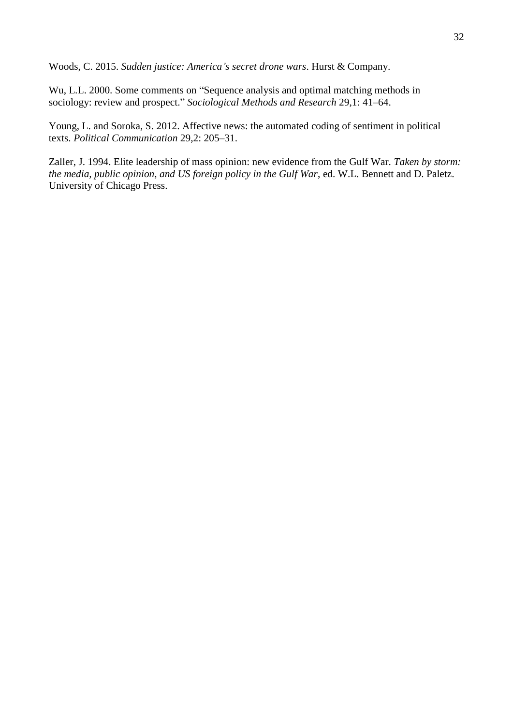Woods, C. 2015. *Sudden justice: America's secret drone wars*. Hurst & Company.

Wu, L.L. 2000. Some comments on "Sequence analysis and optimal matching methods in sociology: review and prospect." *Sociological Methods and Research* 29,1: 41–64.

Young, L. and Soroka, S. 2012. Affective news: the automated coding of sentiment in political texts. *Political Communication* 29,2: 205–31.

Zaller, J. 1994. Elite leadership of mass opinion: new evidence from the Gulf War. *Taken by storm: the media, public opinion, and US foreign policy in the Gulf War*, ed. W.L. Bennett and D. Paletz. University of Chicago Press.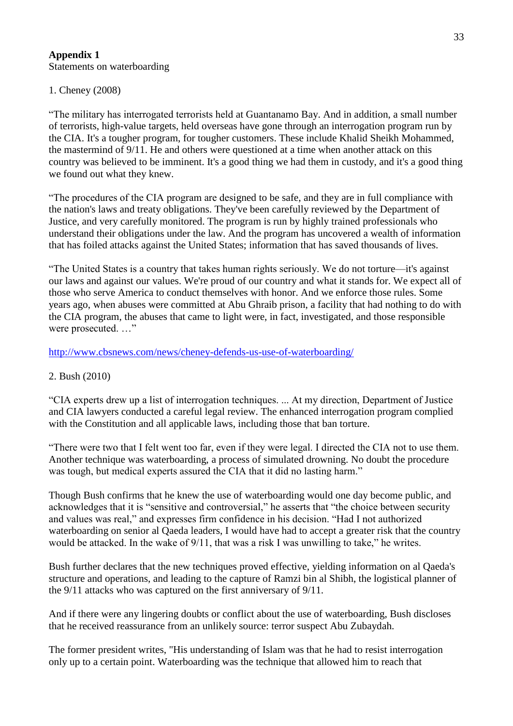### **Appendix 1** Statements on waterboarding

### 1. Cheney (2008)

"The military has interrogated terrorists held at Guantanamo Bay. And in addition, a small number of terrorists, high-value targets, held overseas have gone through an interrogation program run by the CIA. It's a tougher program, for tougher customers. These include Khalid Sheikh Mohammed, the mastermind of 9/11. He and others were questioned at a time when another attack on this country was believed to be imminent. It's a good thing we had them in custody, and it's a good thing we found out what they knew.

"The procedures of the CIA program are designed to be safe, and they are in full compliance with the nation's laws and treaty obligations. They've been carefully reviewed by the Department of Justice, and very carefully monitored. The program is run by highly trained professionals who understand their obligations under the law. And the program has uncovered a wealth of information that has foiled attacks against the United States; information that has saved thousands of lives.

"The United States is a country that takes human rights seriously. We do not torture—it's against our laws and against our values. We're proud of our country and what it stands for. We expect all of those who serve America to conduct themselves with honor. And we enforce those rules. Some years ago, when abuses were committed at Abu Ghraib prison, a facility that had nothing to do with the CIA program, the abuses that came to light were, in fact, investigated, and those responsible were prosecuted. …"

<http://www.cbsnews.com/news/cheney-defends-us-use-of-waterboarding/>

### 2. Bush (2010)

"CIA experts drew up a list of interrogation techniques. ... At my direction, Department of Justice and CIA lawyers conducted a careful legal review. The enhanced interrogation program complied with the Constitution and all applicable laws, including those that ban torture.

"There were two that I felt went too far, even if they were legal. I directed the CIA not to use them. Another technique was waterboarding, a process of simulated drowning. No doubt the procedure was tough, but medical experts assured the CIA that it did no lasting harm."

Though Bush confirms that he knew the use of waterboarding would one day become public, and acknowledges that it is "sensitive and controversial," he asserts that "the choice between security and values was real," and expresses firm confidence in his decision. "Had I not authorized waterboarding on senior al Qaeda leaders, I would have had to accept a greater risk that the country would be attacked. In the wake of 9/11, that was a risk I was unwilling to take," he writes.

Bush further declares that the new techniques proved effective, yielding information on al Qaeda's structure and operations, and leading to the capture of Ramzi bin al Shibh, the logistical planner of the 9/11 attacks who was captured on the first anniversary of 9/11.

And if there were any lingering doubts or conflict about the use of waterboarding, Bush discloses that he received reassurance from an unlikely source: terror suspect Abu Zubaydah.

The former president writes, "His understanding of Islam was that he had to resist interrogation only up to a certain point. Waterboarding was the technique that allowed him to reach that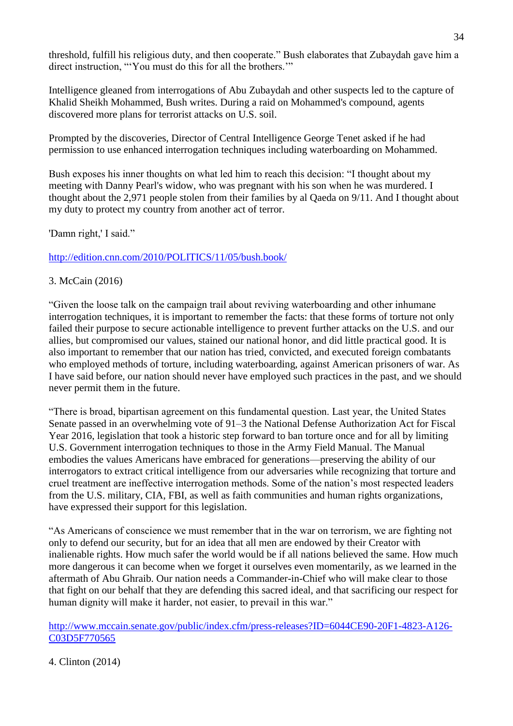threshold, fulfill his religious duty, and then cooperate." Bush elaborates that Zubaydah gave him a direct instruction, "'You must do this for all the brothers."

Intelligence gleaned from interrogations of Abu Zubaydah and other suspects led to the capture of Khalid Sheikh Mohammed, Bush writes. During a raid on Mohammed's compound, agents discovered more plans for terrorist attacks on U.S. soil.

Prompted by the discoveries, Director of Central Intelligence George Tenet asked if he had permission to use enhanced interrogation techniques including waterboarding on Mohammed.

Bush exposes his inner thoughts on what led him to reach this decision: "I thought about my meeting with Danny Pearl's widow, who was pregnant with his son when he was murdered. I thought about the 2,971 people stolen from their families by al Qaeda on 9/11. And I thought about my duty to protect my country from another act of terror.

'Damn right,' I said."

### <http://edition.cnn.com/2010/POLITICS/11/05/bush.book/>

### 3. McCain (2016)

"Given the loose talk on the campaign trail about reviving waterboarding and other inhumane interrogation techniques, it is important to remember the facts: that these forms of torture not only failed their purpose to secure actionable intelligence to prevent further attacks on the U.S. and our allies, but compromised our values, stained our national honor, and did little practical good. It is also important to remember that our nation has tried, convicted, and executed foreign combatants who employed methods of torture, including waterboarding, against American prisoners of war. As I have said before, our nation should never have employed such practices in the past, and we should never permit them in the future.

"There is broad, bipartisan agreement on this fundamental question. Last year, the United States Senate passed in an overwhelming vote of 91–3 the National Defense Authorization Act for Fiscal Year 2016, legislation that took a historic step forward to ban torture once and for all by limiting U.S. Government interrogation techniques to those in the Army Field Manual. The Manual embodies the values Americans have embraced for generations—preserving the ability of our interrogators to extract critical intelligence from our adversaries while recognizing that torture and cruel treatment are ineffective interrogation methods. Some of the nation's most respected leaders from the U.S. military, CIA, FBI, as well as faith communities and human rights organizations, have expressed their support for this legislation.

"As Americans of conscience we must remember that in the war on terrorism, we are fighting not only to defend our security, but for an idea that all men are endowed by their Creator with inalienable rights. How much safer the world would be if all nations believed the same. How much more dangerous it can become when we forget it ourselves even momentarily, as we learned in the aftermath of Abu Ghraib. Our nation needs a Commander-in-Chief who will make clear to those that fight on our behalf that they are defending this sacred ideal, and that sacrificing our respect for human dignity will make it harder, not easier, to prevail in this war."

[http://www.mccain.senate.gov/public/index.cfm/press-releases?ID=6044CE90-20F1-4823-A126-](http://www.mccain.senate.gov/public/index.cfm/press-releases?ID=6044CE90-20F1-4823-A126-C03D5F770565) [C03D5F770565](http://www.mccain.senate.gov/public/index.cfm/press-releases?ID=6044CE90-20F1-4823-A126-C03D5F770565)

4. Clinton (2014)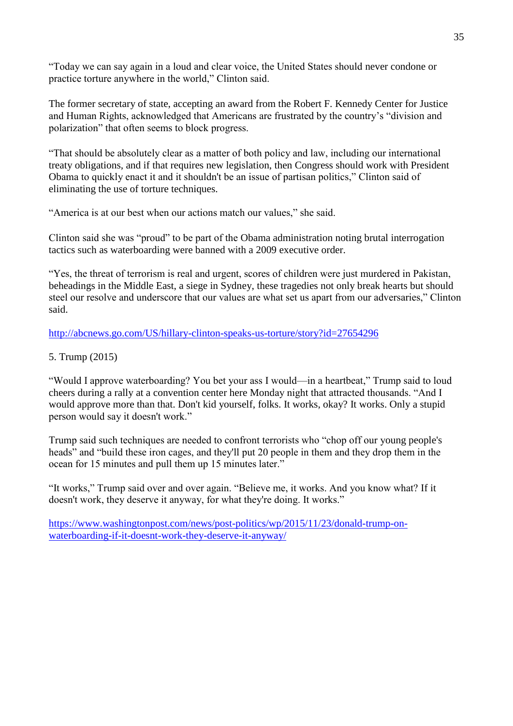"Today we can say again in a loud and clear voice, the United States should never condone or practice torture anywhere in the world," Clinton said.

The former secretary of state, accepting an award from the Robert F. Kennedy Center for Justice and Human Rights, acknowledged that Americans are frustrated by the country's "division and polarization" that often seems to block progress.

"That should be absolutely clear as a matter of both policy and law, including our international treaty obligations, and if that requires new legislation, then Congress should work with President Obama to quickly enact it and it shouldn't be an issue of partisan politics," Clinton said of eliminating the use of torture techniques.

"America is at our best when our actions match our values," she said.

Clinton said she was "proud" to be part of the Obama administration noting brutal interrogation tactics such as waterboarding were banned with a 2009 executive order.

"Yes, the threat of terrorism is real and urgent, scores of children were just murdered in Pakistan, beheadings in the Middle East, a siege in Sydney, these tragedies not only break hearts but should steel our resolve and underscore that our values are what set us apart from our adversaries," Clinton said.

<http://abcnews.go.com/US/hillary-clinton-speaks-us-torture/story?id=27654296>

5. Trump (2015)

"Would I approve waterboarding? You bet your ass I would—in a heartbeat," Trump said to loud cheers during a rally at a convention center here Monday night that attracted thousands. "And I would approve more than that. Don't kid yourself, folks. It works, okay? It works. Only a stupid person would say it doesn't work."

Trump said such techniques are needed to confront terrorists who "chop off our young people's heads" and "build these iron cages, and they'll put 20 people in them and they drop them in the ocean for 15 minutes and pull them up 15 minutes later."

"It works," Trump said over and over again. "Believe me, it works. And you know what? If it doesn't work, they deserve it anyway, for what they're doing. It works."

[https://www.washingtonpost.com/news/post-politics/wp/2015/11/23/donald-trump-on](https://www.washingtonpost.com/news/post-politics/wp/2015/11/23/donald-trump-on-waterboarding-if-it-doesnt-work-they-deserve-it-anyway/)[waterboarding-if-it-doesnt-work-they-deserve-it-anyway/](https://www.washingtonpost.com/news/post-politics/wp/2015/11/23/donald-trump-on-waterboarding-if-it-doesnt-work-they-deserve-it-anyway/)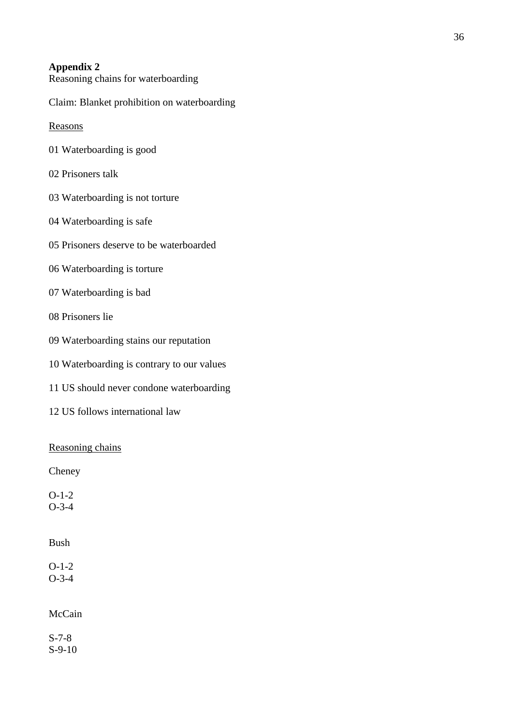### **Appendix 2**

Reasoning chains for waterboarding

Claim: Blanket prohibition on waterboarding

Reasons

- 01 Waterboarding is good
- 02 Prisoners talk
- 03 Waterboarding is not torture
- 04 Waterboarding is safe
- 05 Prisoners deserve to be waterboarded
- 06 Waterboarding is torture
- 07 Waterboarding is bad
- 08 Prisoners lie
- 09 Waterboarding stains our reputation
- 10 Waterboarding is contrary to our values
- 11 US should never condone waterboarding
- 12 US follows international law

#### Reasoning chains

Cheney O-1-2 O-3-4 Bush

O-1-2 O-3-4

McCain

S-7-8 S-9-10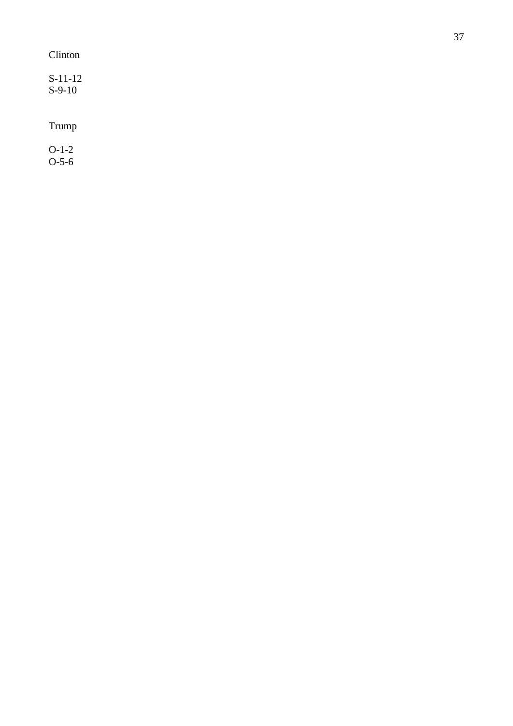## Clinton

S-11-12 S-9-10

# Trump

O-1-2 O-5-6